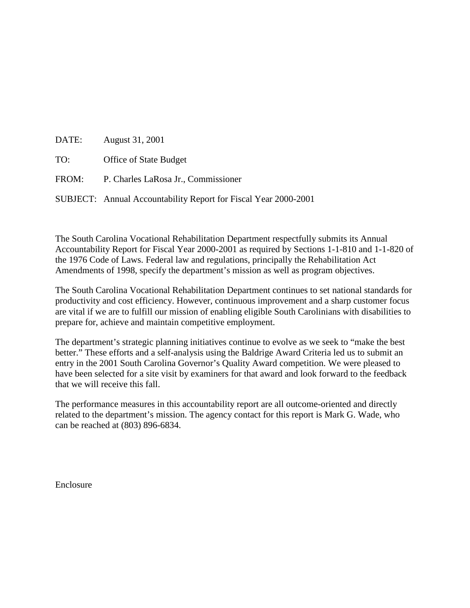|     | DATE: August 31, 2001                                           |
|-----|-----------------------------------------------------------------|
| TO: | <b>Office of State Budget</b>                                   |
|     | FROM: P. Charles LaRosa Jr., Commissioner                       |
|     | SUBJECT: Annual Accountability Report for Fiscal Year 2000-2001 |

The South Carolina Vocational Rehabilitation Department respectfully submits its Annual Accountability Report for Fiscal Year 2000-2001 as required by Sections 1-1-810 and 1-1-820 of the 1976 Code of Laws. Federal law and regulations, principally the Rehabilitation Act Amendments of 1998, specify the department's mission as well as program objectives.

The South Carolina Vocational Rehabilitation Department continues to set national standards for productivity and cost efficiency. However, continuous improvement and a sharp customer focus are vital if we are to fulfill our mission of enabling eligible South Carolinians with disabilities to prepare for, achieve and maintain competitive employment.

The department's strategic planning initiatives continue to evolve as we seek to "make the best better." These efforts and a self-analysis using the Baldrige Award Criteria led us to submit an entry in the 2001 South Carolina Governor's Quality Award competition. We were pleased to have been selected for a site visit by examiners for that award and look forward to the feedback that we will receive this fall.

The performance measures in this accountability report are all outcome-oriented and directly related to the department's mission. The agency contact for this report is Mark G. Wade, who can be reached at (803) 896-6834.

Enclosure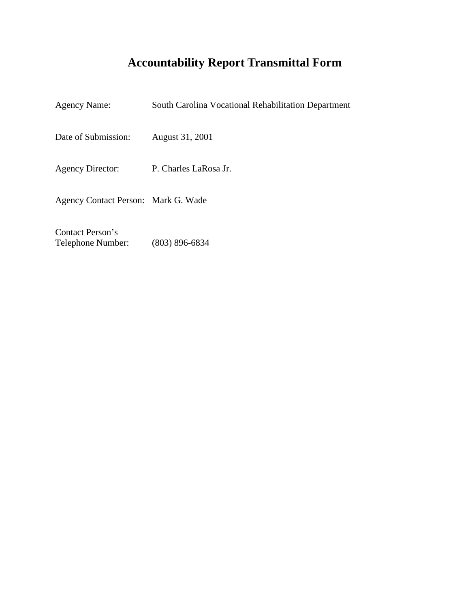# **Accountability Report Transmittal Form**

| <b>Agency Name:</b>                 | South Carolina Vocational Rehabilitation Department |
|-------------------------------------|-----------------------------------------------------|
| Date of Submission:                 | August 31, 2001                                     |
| <b>Agency Director:</b>             | P. Charles LaRosa Jr.                               |
| Agency Contact Person: Mark G. Wade |                                                     |
| Contact Person's                    |                                                     |

Telephone Number: (803) 896-6834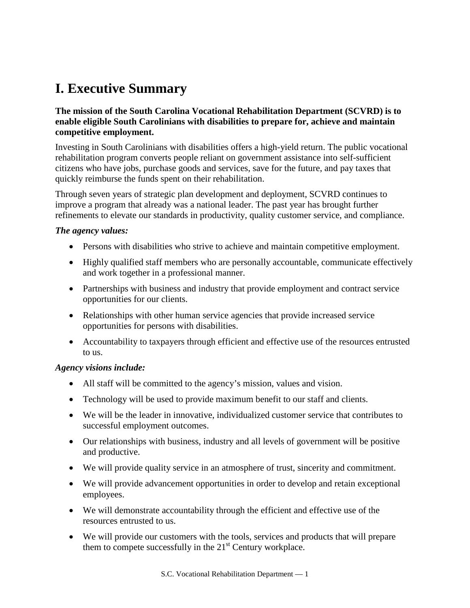# **I. Executive Summary**

#### **The mission of the South Carolina Vocational Rehabilitation Department (SCVRD) is to enable eligible South Carolinians with disabilities to prepare for, achieve and maintain competitive employment.**

Investing in South Carolinians with disabilities offers a high-yield return. The public vocational rehabilitation program converts people reliant on government assistance into self-sufficient citizens who have jobs, purchase goods and services, save for the future, and pay taxes that quickly reimburse the funds spent on their rehabilitation.

Through seven years of strategic plan development and deployment, SCVRD continues to improve a program that already was a national leader. The past year has brought further refinements to elevate our standards in productivity, quality customer service, and compliance.

#### *The agency values:*

- Persons with disabilities who strive to achieve and maintain competitive employment.
- Highly qualified staff members who are personally accountable, communicate effectively and work together in a professional manner.
- Partnerships with business and industry that provide employment and contract service opportunities for our clients.
- Relationships with other human service agencies that provide increased service opportunities for persons with disabilities.
- Accountability to taxpayers through efficient and effective use of the resources entrusted to us.

#### *Agency visions include:*

- All staff will be committed to the agency's mission, values and vision.
- Technology will be used to provide maximum benefit to our staff and clients.
- We will be the leader in innovative, individualized customer service that contributes to successful employment outcomes.
- Our relationships with business, industry and all levels of government will be positive and productive.
- We will provide quality service in an atmosphere of trust, sincerity and commitment.
- We will provide advancement opportunities in order to develop and retain exceptional employees.
- We will demonstrate accountability through the efficient and effective use of the resources entrusted to us.
- We will provide our customers with the tools, services and products that will prepare them to compete successfully in the  $21<sup>st</sup>$  Century workplace.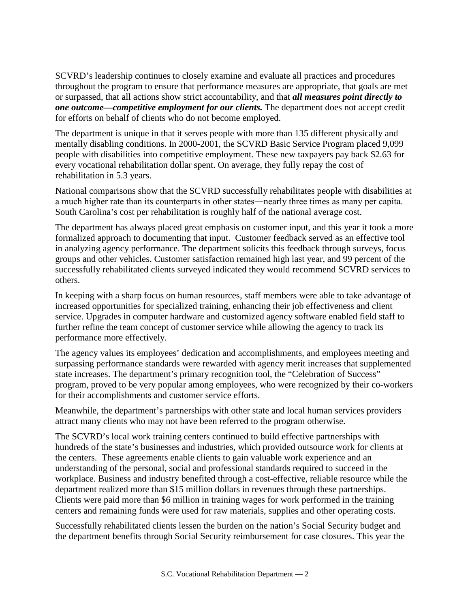SCVRD's leadership continues to closely examine and evaluate all practices and procedures throughout the program to ensure that performance measures are appropriate, that goals are met or surpassed, that all actions show strict accountability, and that *all measures point directly to one outcome—competitive employment for our clients.* The department does not accept credit for efforts on behalf of clients who do not become employed.

The department is unique in that it serves people with more than 135 different physically and mentally disabling conditions. In 2000-2001, the SCVRD Basic Service Program placed 9,099 people with disabilities into competitive employment. These new taxpayers pay back \$2.63 for every vocational rehabilitation dollar spent. On average, they fully repay the cost of rehabilitation in 5.3 years.

National comparisons show that the SCVRD successfully rehabilitates people with disabilities at a much higher rate than its counterparts in other states―nearly three times as many per capita. South Carolina's cost per rehabilitation is roughly half of the national average cost.

The department has always placed great emphasis on customer input, and this year it took a more formalized approach to documenting that input. Customer feedback served as an effective tool in analyzing agency performance. The department solicits this feedback through surveys, focus groups and other vehicles. Customer satisfaction remained high last year, and 99 percent of the successfully rehabilitated clients surveyed indicated they would recommend SCVRD services to others.

In keeping with a sharp focus on human resources, staff members were able to take advantage of increased opportunities for specialized training, enhancing their job effectiveness and client service. Upgrades in computer hardware and customized agency software enabled field staff to further refine the team concept of customer service while allowing the agency to track its performance more effectively.

The agency values its employees' dedication and accomplishments, and employees meeting and surpassing performance standards were rewarded with agency merit increases that supplemented state increases. The department's primary recognition tool, the "Celebration of Success" program, proved to be very popular among employees, who were recognized by their co-workers for their accomplishments and customer service efforts.

Meanwhile, the department's partnerships with other state and local human services providers attract many clients who may not have been referred to the program otherwise.

The SCVRD's local work training centers continued to build effective partnerships with hundreds of the state's businesses and industries, which provided outsource work for clients at the centers. These agreements enable clients to gain valuable work experience and an understanding of the personal, social and professional standards required to succeed in the workplace. Business and industry benefited through a cost-effective, reliable resource while the department realized more than \$15 million dollars in revenues through these partnerships. Clients were paid more than \$6 million in training wages for work performed in the training centers and remaining funds were used for raw materials, supplies and other operating costs.

Successfully rehabilitated clients lessen the burden on the nation's Social Security budget and the department benefits through Social Security reimbursement for case closures. This year the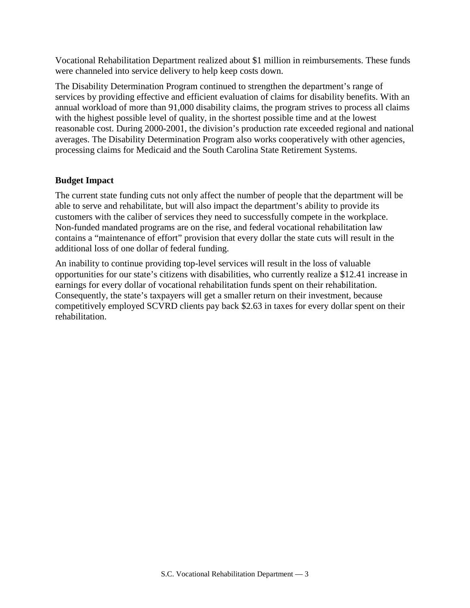Vocational Rehabilitation Department realized about \$1 million in reimbursements. These funds were channeled into service delivery to help keep costs down.

The Disability Determination Program continued to strengthen the department's range of services by providing effective and efficient evaluation of claims for disability benefits. With an annual workload of more than 91,000 disability claims, the program strives to process all claims with the highest possible level of quality, in the shortest possible time and at the lowest reasonable cost. During 2000-2001, the division's production rate exceeded regional and national averages. The Disability Determination Program also works cooperatively with other agencies, processing claims for Medicaid and the South Carolina State Retirement Systems.

#### **Budget Impact**

The current state funding cuts not only affect the number of people that the department will be able to serve and rehabilitate, but will also impact the department's ability to provide its customers with the caliber of services they need to successfully compete in the workplace. Non-funded mandated programs are on the rise, and federal vocational rehabilitation law contains a "maintenance of effort" provision that every dollar the state cuts will result in the additional loss of one dollar of federal funding.

An inability to continue providing top-level services will result in the loss of valuable opportunities for our state's citizens with disabilities, who currently realize a \$12.41 increase in earnings for every dollar of vocational rehabilitation funds spent on their rehabilitation. Consequently, the state's taxpayers will get a smaller return on their investment, because competitively employed SCVRD clients pay back \$2.63 in taxes for every dollar spent on their rehabilitation.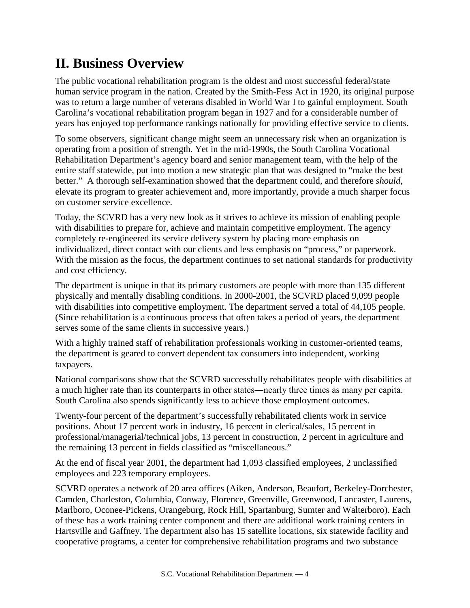# **II. Business Overview**

The public vocational rehabilitation program is the oldest and most successful federal/state human service program in the nation. Created by the Smith-Fess Act in 1920, its original purpose was to return a large number of veterans disabled in World War I to gainful employment. South Carolina's vocational rehabilitation program began in 1927 and for a considerable number of years has enjoyed top performance rankings nationally for providing effective service to clients.

To some observers, significant change might seem an unnecessary risk when an organization is operating from a position of strength. Yet in the mid-1990s, the South Carolina Vocational Rehabilitation Department's agency board and senior management team, with the help of the entire staff statewide, put into motion a new strategic plan that was designed to "make the best better." A thorough self-examination showed that the department could, and therefore *should,*  elevate its program to greater achievement and, more importantly, provide a much sharper focus on customer service excellence.

Today, the SCVRD has a very new look as it strives to achieve its mission of enabling people with disabilities to prepare for, achieve and maintain competitive employment. The agency completely re-engineered its service delivery system by placing more emphasis on individualized, direct contact with our clients and less emphasis on "process," or paperwork. With the mission as the focus, the department continues to set national standards for productivity and cost efficiency.

The department is unique in that its primary customers are people with more than 135 different physically and mentally disabling conditions. In 2000-2001, the SCVRD placed 9,099 people with disabilities into competitive employment. The department served a total of 44,105 people. (Since rehabilitation is a continuous process that often takes a period of years, the department serves some of the same clients in successive years.)

With a highly trained staff of rehabilitation professionals working in customer-oriented teams, the department is geared to convert dependent tax consumers into independent, working taxpayers.

National comparisons show that the SCVRD successfully rehabilitates people with disabilities at a much higher rate than its counterparts in other states―nearly three times as many per capita. South Carolina also spends significantly less to achieve those employment outcomes.

Twenty-four percent of the department's successfully rehabilitated clients work in service positions. About 17 percent work in industry, 16 percent in clerical/sales, 15 percent in professional/managerial/technical jobs, 13 percent in construction, 2 percent in agriculture and the remaining 13 percent in fields classified as "miscellaneous."

At the end of fiscal year 2001, the department had 1,093 classified employees, 2 unclassified employees and 223 temporary employees.

SCVRD operates a network of 20 area offices (Aiken, Anderson, Beaufort, Berkeley-Dorchester, Camden, Charleston, Columbia, Conway, Florence, Greenville, Greenwood, Lancaster, Laurens, Marlboro, Oconee-Pickens, Orangeburg, Rock Hill, Spartanburg, Sumter and Walterboro). Each of these has a work training center component and there are additional work training centers in Hartsville and Gaffney. The department also has 15 satellite locations, six statewide facility and cooperative programs, a center for comprehensive rehabilitation programs and two substance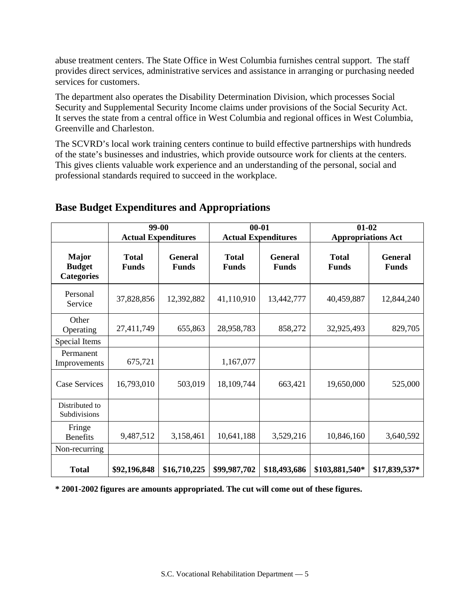abuse treatment centers. The State Office in West Columbia furnishes central support. The staff provides direct services, administrative services and assistance in arranging or purchasing needed services for customers.

The department also operates the Disability Determination Division, which processes Social Security and Supplemental Security Income claims under provisions of the Social Security Act. It serves the state from a central office in West Columbia and regional offices in West Columbia, Greenville and Charleston.

The SCVRD's local work training centers continue to build effective partnerships with hundreds of the state's businesses and industries, which provide outsource work for clients at the centers. This gives clients valuable work experience and an understanding of the personal, social and professional standards required to succeed in the workplace.

|                                                    |                              | 99-00<br><b>Actual Expenditures</b> |                              | $00 - 01$<br><b>Actual Expenditures</b> |                              | $01 - 02$<br><b>Appropriations Act</b> |
|----------------------------------------------------|------------------------------|-------------------------------------|------------------------------|-----------------------------------------|------------------------------|----------------------------------------|
| <b>Major</b><br><b>Budget</b><br><b>Categories</b> | <b>Total</b><br><b>Funds</b> | <b>General</b><br><b>Funds</b>      | <b>Total</b><br><b>Funds</b> | <b>General</b><br><b>Funds</b>          | <b>Total</b><br><b>Funds</b> | <b>General</b><br><b>Funds</b>         |
| Personal<br>Service                                | 37,828,856                   | 12,392,882                          | 41,110,910                   | 13,442,777                              | 40,459,887                   | 12,844,240                             |
| Other<br>Operating                                 | 27,411,749                   | 655,863                             | 28,958,783                   | 858,272                                 | 32,925,493                   | 829,705                                |
| Special Items                                      |                              |                                     |                              |                                         |                              |                                        |
| Permanent<br>Improvements                          | 675,721                      |                                     | 1,167,077                    |                                         |                              |                                        |
| Case Services                                      | 16,793,010                   | 503,019                             | 18,109,744                   | 663,421                                 | 19,650,000                   | 525,000                                |
| Distributed to<br>Subdivisions                     |                              |                                     |                              |                                         |                              |                                        |
| Fringe<br><b>Benefits</b>                          | 9,487,512                    | 3,158,461                           | 10,641,188                   | 3,529,216                               | 10,846,160                   | 3,640,592                              |
| Non-recurring                                      |                              |                                     |                              |                                         |                              |                                        |
| <b>Total</b>                                       | \$92,196,848                 | \$16,710,225                        | \$99,987,702                 | \$18,493,686                            | \$103,881,540*               | \$17,839,537*                          |

## **Base Budget Expenditures and Appropriations**

**\* 2001-2002 figures are amounts appropriated. The cut will come out of these figures.**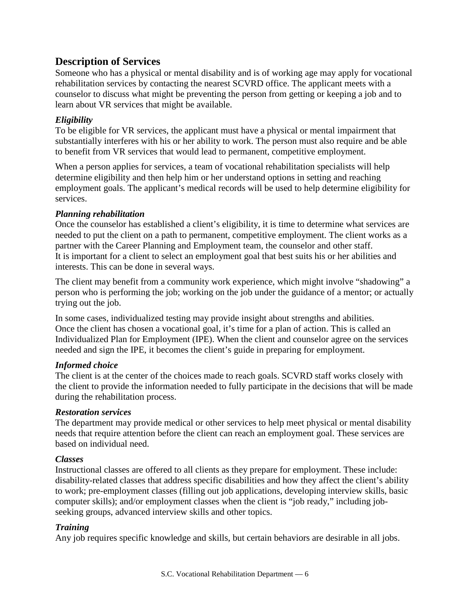## **Description of Services**

Someone who has a physical or mental disability and is of working age may apply for vocational rehabilitation services by contacting the nearest SCVRD office. The applicant meets with a counselor to discuss what might be preventing the person from getting or keeping a job and to learn about VR services that might be available.

### *Eligibility*

To be eligible for VR services, the applicant must have a physical or mental impairment that substantially interferes with his or her ability to work. The person must also require and be able to benefit from VR services that would lead to permanent, competitive employment.

When a person applies for services, a team of vocational rehabilitation specialists will help determine eligibility and then help him or her understand options in setting and reaching employment goals. The applicant's medical records will be used to help determine eligibility for services.

#### *Planning rehabilitation*

Once the counselor has established a client's eligibility, it is time to determine what services are needed to put the client on a path to permanent, competitive employment. The client works as a partner with the Career Planning and Employment team, the counselor and other staff. It is important for a client to select an employment goal that best suits his or her abilities and interests. This can be done in several ways.

The client may benefit from a community work experience, which might involve "shadowing" a person who is performing the job; working on the job under the guidance of a mentor; or actually trying out the job.

In some cases, individualized testing may provide insight about strengths and abilities. Once the client has chosen a vocational goal, it's time for a plan of action. This is called an Individualized Plan for Employment (IPE). When the client and counselor agree on the services needed and sign the IPE, it becomes the client's guide in preparing for employment.

### *Informed choice*

The client is at the center of the choices made to reach goals. SCVRD staff works closely with the client to provide the information needed to fully participate in the decisions that will be made during the rehabilitation process.

### *Restoration services*

The department may provide medical or other services to help meet physical or mental disability needs that require attention before the client can reach an employment goal. These services are based on individual need.

### *Classes*

Instructional classes are offered to all clients as they prepare for employment. These include: disability-related classes that address specific disabilities and how they affect the client's ability to work; pre-employment classes (filling out job applications, developing interview skills, basic computer skills); and/or employment classes when the client is "job ready," including jobseeking groups, advanced interview skills and other topics.

### *Training*

Any job requires specific knowledge and skills, but certain behaviors are desirable in all jobs.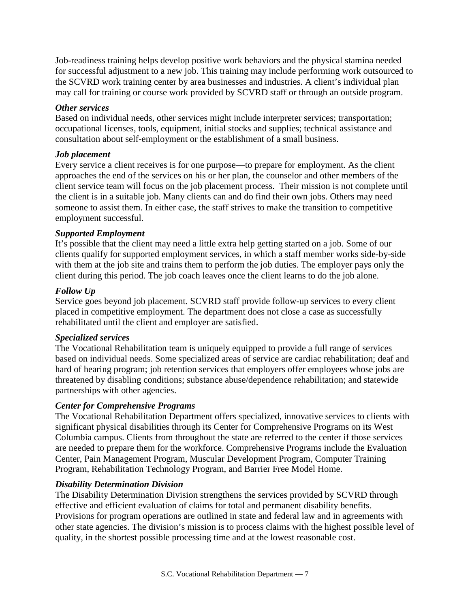Job-readiness training helps develop positive work behaviors and the physical stamina needed for successful adjustment to a new job. This training may include performing work outsourced to the SCVRD work training center by area businesses and industries. A client's individual plan may call for training or course work provided by SCVRD staff or through an outside program.

#### *Other services*

Based on individual needs, other services might include interpreter services; transportation; occupational licenses, tools, equipment, initial stocks and supplies; technical assistance and consultation about self-employment or the establishment of a small business.

### *Job placement*

Every service a client receives is for one purpose—to prepare for employment. As the client approaches the end of the services on his or her plan, the counselor and other members of the client service team will focus on the job placement process. Their mission is not complete until the client is in a suitable job. Many clients can and do find their own jobs. Others may need someone to assist them. In either case, the staff strives to make the transition to competitive employment successful.

#### *Supported Employment*

It's possible that the client may need a little extra help getting started on a job. Some of our clients qualify for supported employment services, in which a staff member works side-by-side with them at the job site and trains them to perform the job duties. The employer pays only the client during this period. The job coach leaves once the client learns to do the job alone.

#### *Follow Up*

Service goes beyond job placement. SCVRD staff provide follow-up services to every client placed in competitive employment. The department does not close a case as successfully rehabilitated until the client and employer are satisfied.

#### *Specialized services*

The Vocational Rehabilitation team is uniquely equipped to provide a full range of services based on individual needs. Some specialized areas of service are cardiac rehabilitation; deaf and hard of hearing program; job retention services that employers offer employees whose jobs are threatened by disabling conditions; substance abuse/dependence rehabilitation; and statewide partnerships with other agencies.

### *Center for Comprehensive Programs*

The Vocational Rehabilitation Department offers specialized, innovative services to clients with significant physical disabilities through its Center for Comprehensive Programs on its West Columbia campus. Clients from throughout the state are referred to the center if those services are needed to prepare them for the workforce. Comprehensive Programs include the Evaluation Center, Pain Management Program, Muscular Development Program, Computer Training Program, Rehabilitation Technology Program, and Barrier Free Model Home.

#### *Disability Determination Division*

The Disability Determination Division strengthens the services provided by SCVRD through effective and efficient evaluation of claims for total and permanent disability benefits. Provisions for program operations are outlined in state and federal law and in agreements with other state agencies. The division's mission is to process claims with the highest possible level of quality, in the shortest possible processing time and at the lowest reasonable cost.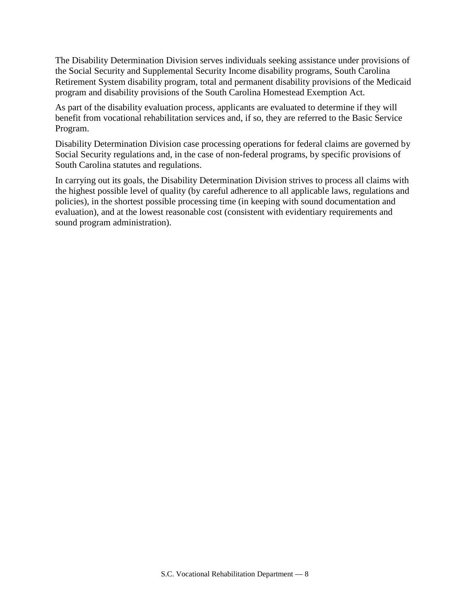The Disability Determination Division serves individuals seeking assistance under provisions of the Social Security and Supplemental Security Income disability programs, South Carolina Retirement System disability program, total and permanent disability provisions of the Medicaid program and disability provisions of the South Carolina Homestead Exemption Act.

As part of the disability evaluation process, applicants are evaluated to determine if they will benefit from vocational rehabilitation services and, if so, they are referred to the Basic Service Program.

Disability Determination Division case processing operations for federal claims are governed by Social Security regulations and, in the case of non-federal programs, by specific provisions of South Carolina statutes and regulations.

In carrying out its goals, the Disability Determination Division strives to process all claims with the highest possible level of quality (by careful adherence to all applicable laws, regulations and policies), in the shortest possible processing time (in keeping with sound documentation and evaluation), and at the lowest reasonable cost (consistent with evidentiary requirements and sound program administration).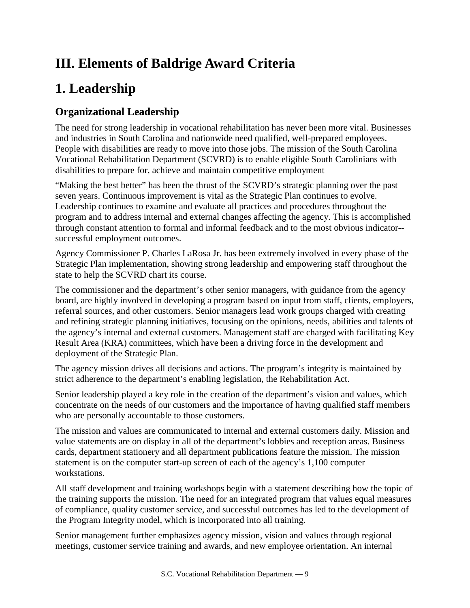# **III. Elements of Baldrige Award Criteria**

# **1. Leadership**

# **Organizational Leadership**

The need for strong leadership in vocational rehabilitation has never been more vital. Businesses and industries in South Carolina and nationwide need qualified, well-prepared employees. People with disabilities are ready to move into those jobs. The mission of the South Carolina Vocational Rehabilitation Department (SCVRD) is to enable eligible South Carolinians with disabilities to prepare for, achieve and maintain competitive employment

"Making the best better" has been the thrust of the SCVRD's strategic planning over the past seven years. Continuous improvement is vital as the Strategic Plan continues to evolve. Leadership continues to examine and evaluate all practices and procedures throughout the program and to address internal and external changes affecting the agency. This is accomplished through constant attention to formal and informal feedback and to the most obvious indicator- successful employment outcomes.

Agency Commissioner P. Charles LaRosa Jr. has been extremely involved in every phase of the Strategic Plan implementation, showing strong leadership and empowering staff throughout the state to help the SCVRD chart its course.

The commissioner and the department's other senior managers, with guidance from the agency board, are highly involved in developing a program based on input from staff, clients, employers, referral sources, and other customers. Senior managers lead work groups charged with creating and refining strategic planning initiatives, focusing on the opinions, needs, abilities and talents of the agency's internal and external customers. Management staff are charged with facilitating Key Result Area (KRA) committees, which have been a driving force in the development and deployment of the Strategic Plan.

The agency mission drives all decisions and actions. The program's integrity is maintained by strict adherence to the department's enabling legislation, the Rehabilitation Act.

Senior leadership played a key role in the creation of the department's vision and values, which concentrate on the needs of our customers and the importance of having qualified staff members who are personally accountable to those customers.

The mission and values are communicated to internal and external customers daily. Mission and value statements are on display in all of the department's lobbies and reception areas. Business cards, department stationery and all department publications feature the mission. The mission statement is on the computer start-up screen of each of the agency's 1,100 computer workstations.

All staff development and training workshops begin with a statement describing how the topic of the training supports the mission. The need for an integrated program that values equal measures of compliance, quality customer service, and successful outcomes has led to the development of the Program Integrity model, which is incorporated into all training.

Senior management further emphasizes agency mission, vision and values through regional meetings, customer service training and awards, and new employee orientation. An internal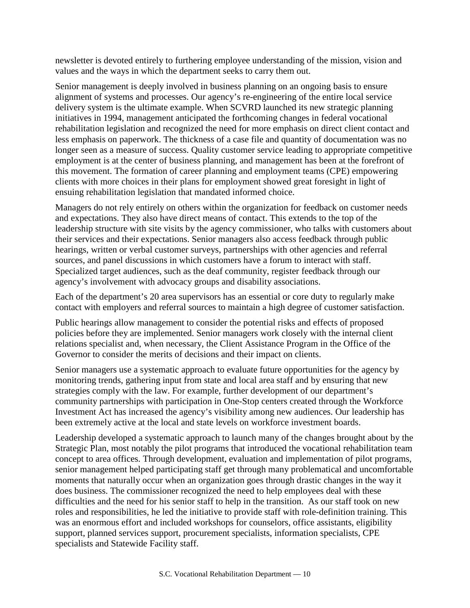newsletter is devoted entirely to furthering employee understanding of the mission, vision and values and the ways in which the department seeks to carry them out.

Senior management is deeply involved in business planning on an ongoing basis to ensure alignment of systems and processes. Our agency's re-engineering of the entire local service delivery system is the ultimate example. When SCVRD launched its new strategic planning initiatives in 1994, management anticipated the forthcoming changes in federal vocational rehabilitation legislation and recognized the need for more emphasis on direct client contact and less emphasis on paperwork. The thickness of a case file and quantity of documentation was no longer seen as a measure of success. Quality customer service leading to appropriate competitive employment is at the center of business planning, and management has been at the forefront of this movement. The formation of career planning and employment teams (CPE) empowering clients with more choices in their plans for employment showed great foresight in light of ensuing rehabilitation legislation that mandated informed choice.

Managers do not rely entirely on others within the organization for feedback on customer needs and expectations. They also have direct means of contact. This extends to the top of the leadership structure with site visits by the agency commissioner, who talks with customers about their services and their expectations. Senior managers also access feedback through public hearings, written or verbal customer surveys, partnerships with other agencies and referral sources, and panel discussions in which customers have a forum to interact with staff. Specialized target audiences, such as the deaf community, register feedback through our agency's involvement with advocacy groups and disability associations.

Each of the department's 20 area supervisors has an essential or core duty to regularly make contact with employers and referral sources to maintain a high degree of customer satisfaction.

Public hearings allow management to consider the potential risks and effects of proposed policies before they are implemented. Senior managers work closely with the internal client relations specialist and, when necessary, the Client Assistance Program in the Office of the Governor to consider the merits of decisions and their impact on clients.

Senior managers use a systematic approach to evaluate future opportunities for the agency by monitoring trends, gathering input from state and local area staff and by ensuring that new strategies comply with the law. For example, further development of our department's community partnerships with participation in One-Stop centers created through the Workforce Investment Act has increased the agency's visibility among new audiences. Our leadership has been extremely active at the local and state levels on workforce investment boards.

Leadership developed a systematic approach to launch many of the changes brought about by the Strategic Plan, most notably the pilot programs that introduced the vocational rehabilitation team concept to area offices. Through development, evaluation and implementation of pilot programs, senior management helped participating staff get through many problematical and uncomfortable moments that naturally occur when an organization goes through drastic changes in the way it does business. The commissioner recognized the need to help employees deal with these difficulties and the need for his senior staff to help in the transition. As our staff took on new roles and responsibilities, he led the initiative to provide staff with role-definition training. This was an enormous effort and included workshops for counselors, office assistants, eligibility support, planned services support, procurement specialists, information specialists, CPE specialists and Statewide Facility staff.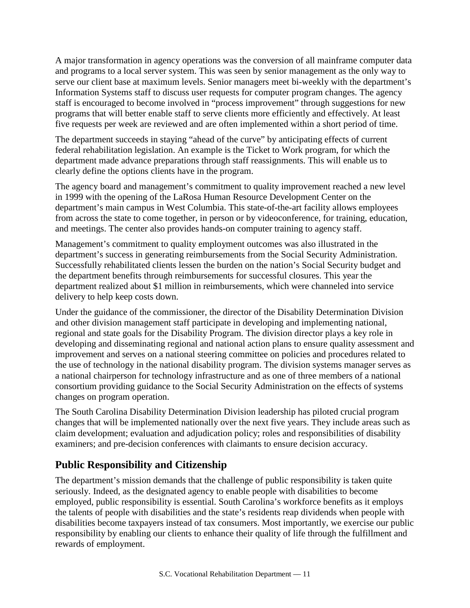A major transformation in agency operations was the conversion of all mainframe computer data and programs to a local server system. This was seen by senior management as the only way to serve our client base at maximum levels. Senior managers meet bi-weekly with the department's Information Systems staff to discuss user requests for computer program changes. The agency staff is encouraged to become involved in "process improvement" through suggestions for new programs that will better enable staff to serve clients more efficiently and effectively. At least five requests per week are reviewed and are often implemented within a short period of time.

The department succeeds in staying "ahead of the curve" by anticipating effects of current federal rehabilitation legislation. An example is the Ticket to Work program, for which the department made advance preparations through staff reassignments. This will enable us to clearly define the options clients have in the program.

The agency board and management's commitment to quality improvement reached a new level in 1999 with the opening of the LaRosa Human Resource Development Center on the department's main campus in West Columbia. This state-of-the-art facility allows employees from across the state to come together, in person or by videoconference, for training, education, and meetings. The center also provides hands-on computer training to agency staff.

Management's commitment to quality employment outcomes was also illustrated in the department's success in generating reimbursements from the Social Security Administration. Successfully rehabilitated clients lessen the burden on the nation's Social Security budget and the department benefits through reimbursements for successful closures. This year the department realized about \$1 million in reimbursements, which were channeled into service delivery to help keep costs down.

Under the guidance of the commissioner, the director of the Disability Determination Division and other division management staff participate in developing and implementing national, regional and state goals for the Disability Program. The division director plays a key role in developing and disseminating regional and national action plans to ensure quality assessment and improvement and serves on a national steering committee on policies and procedures related to the use of technology in the national disability program. The division systems manager serves as a national chairperson for technology infrastructure and as one of three members of a national consortium providing guidance to the Social Security Administration on the effects of systems changes on program operation.

The South Carolina Disability Determination Division leadership has piloted crucial program changes that will be implemented nationally over the next five years. They include areas such as claim development; evaluation and adjudication policy; roles and responsibilities of disability examiners; and pre-decision conferences with claimants to ensure decision accuracy.

## **Public Responsibility and Citizenship**

The department's mission demands that the challenge of public responsibility is taken quite seriously. Indeed, as the designated agency to enable people with disabilities to become employed, public responsibility is essential. South Carolina's workforce benefits as it employs the talents of people with disabilities and the state's residents reap dividends when people with disabilities become taxpayers instead of tax consumers. Most importantly, we exercise our public responsibility by enabling our clients to enhance their quality of life through the fulfillment and rewards of employment.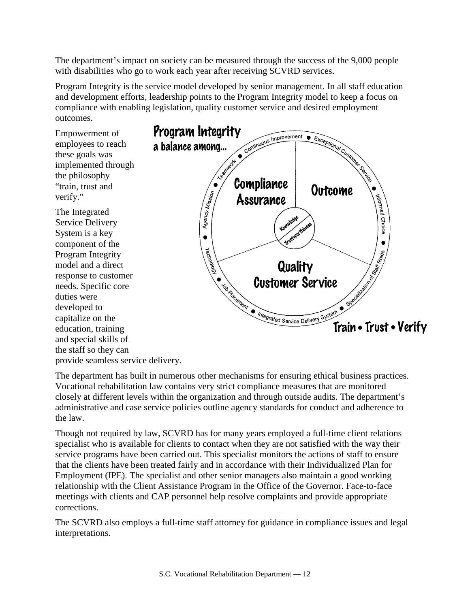The department's impact on society can be measured through the success of the 9,000 people with disabilities who go to work each year after receiving SCVRD services.

Program Integrity is the service model developed by senior management. In all staff education and development efforts, leadership points to the Program Integrity model to keep a focus on compliance with enabling legislation, quality customer service and desired employment outcomes.

Empowerment of employees to reach these goals was implemented through the philosophy "train, trust and verify."

The Integrated Service Delivery System is a key component of the Program Integrity model and a direct response to customer needs. Specific core duties were developed to capitalize on the education, training and special skills of the staff so they can provide seamless service delivery.



The department has built in numerous other mechanisms for ensuring ethical business practices. Vocational rehabilitation law contains very strict compliance measures that are monitored closely at different levels within the organization and through outside audits. The department's administrative and case service policies outline agency standards for conduct and adherence to the law.

Though not required by law, SCVRD has for many years employed a full-time client relations specialist who is available for clients to contact when they are not satisfied with the way their service programs have been carried out. This specialist monitors the actions of staff to ensure that the clients have been treated fairly and in accordance with their Individualized Plan for Employment (IPE). The specialist and other senior managers also maintain a good working relationship with the Client Assistance Program in the Office of the Governor. Face-to-face meetings with clients and CAP personnel help resolve complaints and provide appropriate corrections.

The SCVRD also employs a full-time staff attorney for guidance in compliance issues and legal interpretations.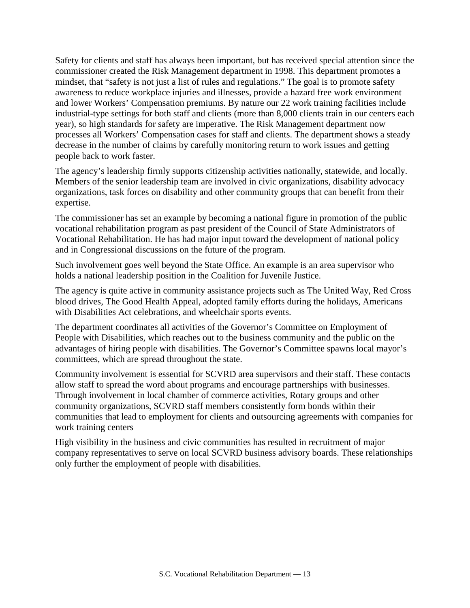Safety for clients and staff has always been important, but has received special attention since the commissioner created the Risk Management department in 1998. This department promotes a mindset, that "safety is not just a list of rules and regulations." The goal is to promote safety awareness to reduce workplace injuries and illnesses, provide a hazard free work environment and lower Workers' Compensation premiums. By nature our 22 work training facilities include industrial-type settings for both staff and clients (more than 8,000 clients train in our centers each year), so high standards for safety are imperative. The Risk Management department now processes all Workers' Compensation cases for staff and clients. The department shows a steady decrease in the number of claims by carefully monitoring return to work issues and getting people back to work faster.

The agency's leadership firmly supports citizenship activities nationally, statewide, and locally. Members of the senior leadership team are involved in civic organizations, disability advocacy organizations, task forces on disability and other community groups that can benefit from their expertise.

The commissioner has set an example by becoming a national figure in promotion of the public vocational rehabilitation program as past president of the Council of State Administrators of Vocational Rehabilitation. He has had major input toward the development of national policy and in Congressional discussions on the future of the program.

Such involvement goes well beyond the State Office. An example is an area supervisor who holds a national leadership position in the Coalition for Juvenile Justice.

The agency is quite active in community assistance projects such as The United Way, Red Cross blood drives, The Good Health Appeal, adopted family efforts during the holidays, Americans with Disabilities Act celebrations, and wheelchair sports events.

The department coordinates all activities of the Governor's Committee on Employment of People with Disabilities, which reaches out to the business community and the public on the advantages of hiring people with disabilities. The Governor's Committee spawns local mayor's committees, which are spread throughout the state.

Community involvement is essential for SCVRD area supervisors and their staff. These contacts allow staff to spread the word about programs and encourage partnerships with businesses. Through involvement in local chamber of commerce activities, Rotary groups and other community organizations, SCVRD staff members consistently form bonds within their communities that lead to employment for clients and outsourcing agreements with companies for work training centers

High visibility in the business and civic communities has resulted in recruitment of major company representatives to serve on local SCVRD business advisory boards. These relationships only further the employment of people with disabilities.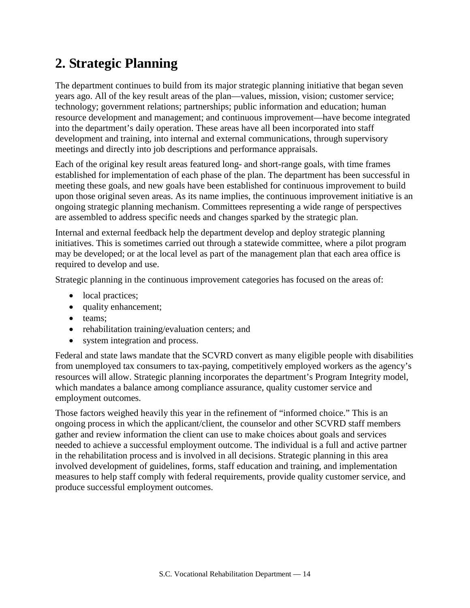# **2. Strategic Planning**

The department continues to build from its major strategic planning initiative that began seven years ago. All of the key result areas of the plan—values, mission, vision; customer service; technology; government relations; partnerships; public information and education; human resource development and management; and continuous improvement—have become integrated into the department's daily operation. These areas have all been incorporated into staff development and training, into internal and external communications, through supervisory meetings and directly into job descriptions and performance appraisals.

Each of the original key result areas featured long- and short-range goals, with time frames established for implementation of each phase of the plan. The department has been successful in meeting these goals, and new goals have been established for continuous improvement to build upon those original seven areas. As its name implies, the continuous improvement initiative is an ongoing strategic planning mechanism. Committees representing a wide range of perspectives are assembled to address specific needs and changes sparked by the strategic plan.

Internal and external feedback help the department develop and deploy strategic planning initiatives. This is sometimes carried out through a statewide committee, where a pilot program may be developed; or at the local level as part of the management plan that each area office is required to develop and use.

Strategic planning in the continuous improvement categories has focused on the areas of:

- local practices;
- quality enhancement;
- teams:
- rehabilitation training/evaluation centers; and
- system integration and process.

Federal and state laws mandate that the SCVRD convert as many eligible people with disabilities from unemployed tax consumers to tax-paying, competitively employed workers as the agency's resources will allow. Strategic planning incorporates the department's Program Integrity model, which mandates a balance among compliance assurance, quality customer service and employment outcomes.

Those factors weighed heavily this year in the refinement of "informed choice." This is an ongoing process in which the applicant/client, the counselor and other SCVRD staff members gather and review information the client can use to make choices about goals and services needed to achieve a successful employment outcome. The individual is a full and active partner in the rehabilitation process and is involved in all decisions. Strategic planning in this area involved development of guidelines, forms, staff education and training, and implementation measures to help staff comply with federal requirements, provide quality customer service, and produce successful employment outcomes.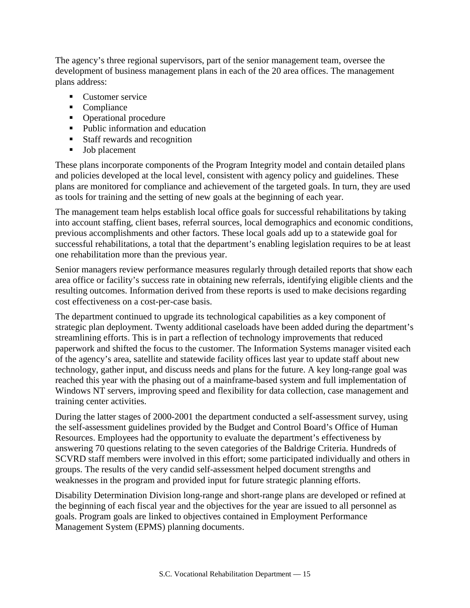The agency's three regional supervisors, part of the senior management team, oversee the development of business management plans in each of the 20 area offices. The management plans address:

- **Customer service**
- Compliance
- Operational procedure
- Public information and education
- Staff rewards and recognition
- **Job** placement

These plans incorporate components of the Program Integrity model and contain detailed plans and policies developed at the local level, consistent with agency policy and guidelines. These plans are monitored for compliance and achievement of the targeted goals. In turn, they are used as tools for training and the setting of new goals at the beginning of each year.

The management team helps establish local office goals for successful rehabilitations by taking into account staffing, client bases, referral sources, local demographics and economic conditions, previous accomplishments and other factors. These local goals add up to a statewide goal for successful rehabilitations, a total that the department's enabling legislation requires to be at least one rehabilitation more than the previous year.

Senior managers review performance measures regularly through detailed reports that show each area office or facility's success rate in obtaining new referrals, identifying eligible clients and the resulting outcomes. Information derived from these reports is used to make decisions regarding cost effectiveness on a cost-per-case basis.

The department continued to upgrade its technological capabilities as a key component of strategic plan deployment. Twenty additional caseloads have been added during the department's streamlining efforts. This is in part a reflection of technology improvements that reduced paperwork and shifted the focus to the customer. The Information Systems manager visited each of the agency's area, satellite and statewide facility offices last year to update staff about new technology, gather input, and discuss needs and plans for the future. A key long-range goal was reached this year with the phasing out of a mainframe-based system and full implementation of Windows NT servers, improving speed and flexibility for data collection, case management and training center activities.

During the latter stages of 2000-2001 the department conducted a self-assessment survey, using the self-assessment guidelines provided by the Budget and Control Board's Office of Human Resources. Employees had the opportunity to evaluate the department's effectiveness by answering 70 questions relating to the seven categories of the Baldrige Criteria. Hundreds of SCVRD staff members were involved in this effort; some participated individually and others in groups. The results of the very candid self-assessment helped document strengths and weaknesses in the program and provided input for future strategic planning efforts.

Disability Determination Division long-range and short-range plans are developed or refined at the beginning of each fiscal year and the objectives for the year are issued to all personnel as goals. Program goals are linked to objectives contained in Employment Performance Management System (EPMS) planning documents.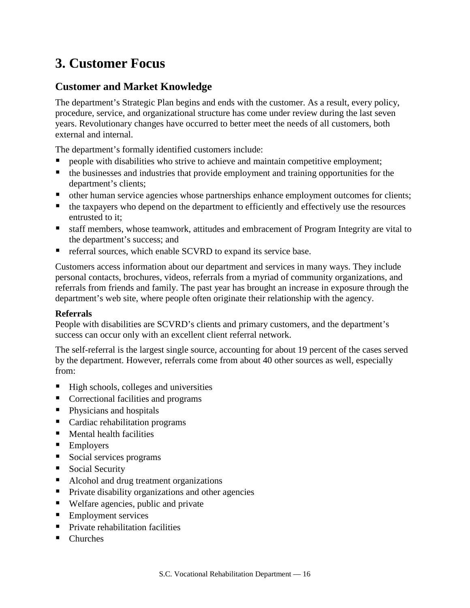# **3. Customer Focus**

## **Customer and Market Knowledge**

The department's Strategic Plan begins and ends with the customer. As a result, every policy, procedure, service, and organizational structure has come under review during the last seven years. Revolutionary changes have occurred to better meet the needs of all customers, both external and internal.

The department's formally identified customers include:

- people with disabilities who strive to achieve and maintain competitive employment;
- the businesses and industries that provide employment and training opportunities for the department's clients;
- other human service agencies whose partnerships enhance employment outcomes for clients;
- $\blacksquare$  the taxpayers who depend on the department to efficiently and effectively use the resources entrusted to it;
- staff members, whose teamwork, attitudes and embracement of Program Integrity are vital to the department's success; and
- referral sources, which enable SCVRD to expand its service base.

Customers access information about our department and services in many ways. They include personal contacts, brochures, videos, referrals from a myriad of community organizations, and referrals from friends and family. The past year has brought an increase in exposure through the department's web site, where people often originate their relationship with the agency.

#### **Referrals**

People with disabilities are SCVRD's clients and primary customers, and the department's success can occur only with an excellent client referral network.

The self-referral is the largest single source, accounting for about 19 percent of the cases served by the department. However, referrals come from about 40 other sources as well, especially from:

- $\blacksquare$  High schools, colleges and universities
- Correctional facilities and programs
- **Physicians and hospitals**
- Cardiac rehabilitation programs
- **Mental health facilities**
- **Employers**
- Social services programs
- Social Security
- Alcohol and drug treatment organizations
- **Private disability organizations and other agencies**
- Welfare agencies, public and private
- **Employment services**
- **Private rehabilitation facilities**
- Churches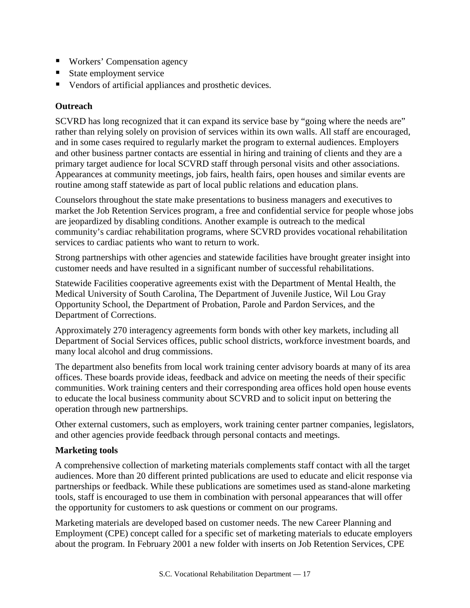- Workers' Compensation agency
- State employment service
- Vendors of artificial appliances and prosthetic devices.

### **Outreach**

SCVRD has long recognized that it can expand its service base by "going where the needs are" rather than relying solely on provision of services within its own walls. All staff are encouraged, and in some cases required to regularly market the program to external audiences. Employers and other business partner contacts are essential in hiring and training of clients and they are a primary target audience for local SCVRD staff through personal visits and other associations. Appearances at community meetings, job fairs, health fairs, open houses and similar events are routine among staff statewide as part of local public relations and education plans.

Counselors throughout the state make presentations to business managers and executives to market the Job Retention Services program, a free and confidential service for people whose jobs are jeopardized by disabling conditions. Another example is outreach to the medical community's cardiac rehabilitation programs, where SCVRD provides vocational rehabilitation services to cardiac patients who want to return to work.

Strong partnerships with other agencies and statewide facilities have brought greater insight into customer needs and have resulted in a significant number of successful rehabilitations.

Statewide Facilities cooperative agreements exist with the Department of Mental Health, the Medical University of South Carolina, The Department of Juvenile Justice, Wil Lou Gray Opportunity School, the Department of Probation, Parole and Pardon Services, and the Department of Corrections.

Approximately 270 interagency agreements form bonds with other key markets, including all Department of Social Services offices, public school districts, workforce investment boards, and many local alcohol and drug commissions.

The department also benefits from local work training center advisory boards at many of its area offices. These boards provide ideas, feedback and advice on meeting the needs of their specific communities. Work training centers and their corresponding area offices hold open house events to educate the local business community about SCVRD and to solicit input on bettering the operation through new partnerships.

Other external customers, such as employers, work training center partner companies, legislators, and other agencies provide feedback through personal contacts and meetings.

### **Marketing tools**

A comprehensive collection of marketing materials complements staff contact with all the target audiences. More than 20 different printed publications are used to educate and elicit response via partnerships or feedback. While these publications are sometimes used as stand-alone marketing tools, staff is encouraged to use them in combination with personal appearances that will offer the opportunity for customers to ask questions or comment on our programs.

Marketing materials are developed based on customer needs. The new Career Planning and Employment (CPE) concept called for a specific set of marketing materials to educate employers about the program. In February 2001 a new folder with inserts on Job Retention Services, CPE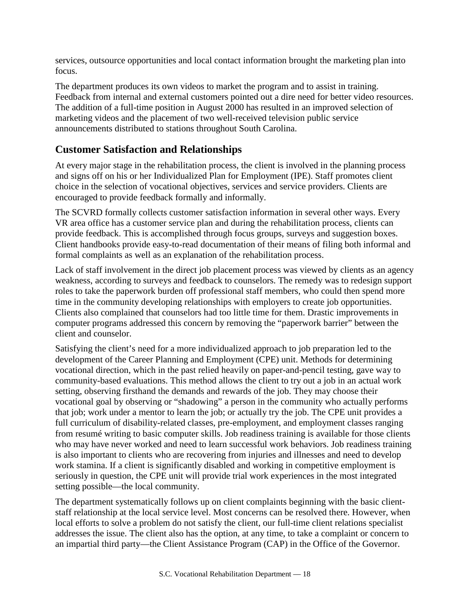services, outsource opportunities and local contact information brought the marketing plan into focus.

The department produces its own videos to market the program and to assist in training. Feedback from internal and external customers pointed out a dire need for better video resources. The addition of a full-time position in August 2000 has resulted in an improved selection of marketing videos and the placement of two well-received television public service announcements distributed to stations throughout South Carolina.

## **Customer Satisfaction and Relationships**

At every major stage in the rehabilitation process, the client is involved in the planning process and signs off on his or her Individualized Plan for Employment (IPE). Staff promotes client choice in the selection of vocational objectives, services and service providers. Clients are encouraged to provide feedback formally and informally.

The SCVRD formally collects customer satisfaction information in several other ways. Every VR area office has a customer service plan and during the rehabilitation process, clients can provide feedback. This is accomplished through focus groups, surveys and suggestion boxes. Client handbooks provide easy-to-read documentation of their means of filing both informal and formal complaints as well as an explanation of the rehabilitation process.

Lack of staff involvement in the direct job placement process was viewed by clients as an agency weakness, according to surveys and feedback to counselors. The remedy was to redesign support roles to take the paperwork burden off professional staff members, who could then spend more time in the community developing relationships with employers to create job opportunities. Clients also complained that counselors had too little time for them. Drastic improvements in computer programs addressed this concern by removing the "paperwork barrier" between the client and counselor.

Satisfying the client's need for a more individualized approach to job preparation led to the development of the Career Planning and Employment (CPE) unit. Methods for determining vocational direction, which in the past relied heavily on paper-and-pencil testing, gave way to community-based evaluations. This method allows the client to try out a job in an actual work setting, observing firsthand the demands and rewards of the job. They may choose their vocational goal by observing or "shadowing" a person in the community who actually performs that job; work under a mentor to learn the job; or actually try the job. The CPE unit provides a full curriculum of disability-related classes, pre-employment, and employment classes ranging from resumé writing to basic computer skills. Job readiness training is available for those clients who may have never worked and need to learn successful work behaviors. Job readiness training is also important to clients who are recovering from injuries and illnesses and need to develop work stamina. If a client is significantly disabled and working in competitive employment is seriously in question, the CPE unit will provide trial work experiences in the most integrated setting possible—the local community.

The department systematically follows up on client complaints beginning with the basic clientstaff relationship at the local service level. Most concerns can be resolved there. However, when local efforts to solve a problem do not satisfy the client, our full-time client relations specialist addresses the issue. The client also has the option, at any time, to take a complaint or concern to an impartial third party—the Client Assistance Program (CAP) in the Office of the Governor.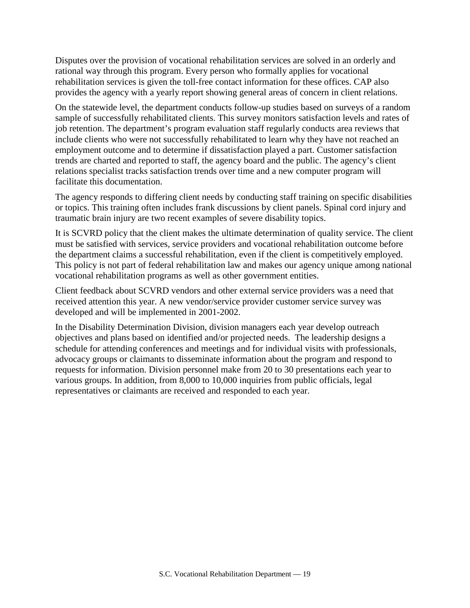Disputes over the provision of vocational rehabilitation services are solved in an orderly and rational way through this program. Every person who formally applies for vocational rehabilitation services is given the toll-free contact information for these offices. CAP also provides the agency with a yearly report showing general areas of concern in client relations.

On the statewide level, the department conducts follow-up studies based on surveys of a random sample of successfully rehabilitated clients. This survey monitors satisfaction levels and rates of job retention. The department's program evaluation staff regularly conducts area reviews that include clients who were not successfully rehabilitated to learn why they have not reached an employment outcome and to determine if dissatisfaction played a part. Customer satisfaction trends are charted and reported to staff, the agency board and the public. The agency's client relations specialist tracks satisfaction trends over time and a new computer program will facilitate this documentation.

The agency responds to differing client needs by conducting staff training on specific disabilities or topics. This training often includes frank discussions by client panels. Spinal cord injury and traumatic brain injury are two recent examples of severe disability topics.

It is SCVRD policy that the client makes the ultimate determination of quality service. The client must be satisfied with services, service providers and vocational rehabilitation outcome before the department claims a successful rehabilitation, even if the client is competitively employed. This policy is not part of federal rehabilitation law and makes our agency unique among national vocational rehabilitation programs as well as other government entities.

Client feedback about SCVRD vendors and other external service providers was a need that received attention this year. A new vendor/service provider customer service survey was developed and will be implemented in 2001-2002.

In the Disability Determination Division, division managers each year develop outreach objectives and plans based on identified and/or projected needs. The leadership designs a schedule for attending conferences and meetings and for individual visits with professionals, advocacy groups or claimants to disseminate information about the program and respond to requests for information. Division personnel make from 20 to 30 presentations each year to various groups. In addition, from 8,000 to 10,000 inquiries from public officials, legal representatives or claimants are received and responded to each year.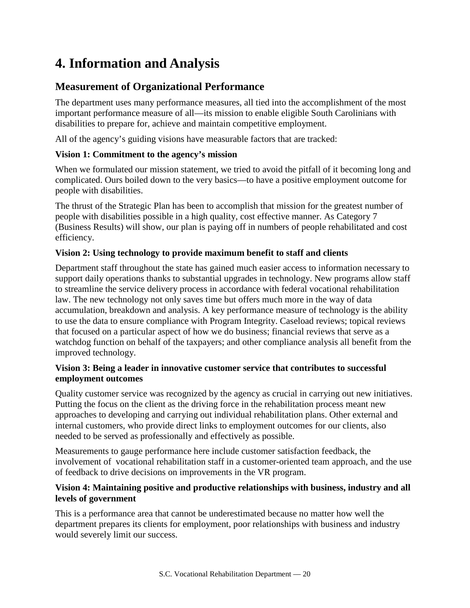# **4. Information and Analysis**

## **Measurement of Organizational Performance**

The department uses many performance measures, all tied into the accomplishment of the most important performance measure of all—its mission to enable eligible South Carolinians with disabilities to prepare for, achieve and maintain competitive employment.

All of the agency's guiding visions have measurable factors that are tracked:

## **Vision 1: Commitment to the agency's mission**

When we formulated our mission statement, we tried to avoid the pitfall of it becoming long and complicated. Ours boiled down to the very basics—to have a positive employment outcome for people with disabilities.

The thrust of the Strategic Plan has been to accomplish that mission for the greatest number of people with disabilities possible in a high quality, cost effective manner. As Category 7 (Business Results) will show, our plan is paying off in numbers of people rehabilitated and cost efficiency.

## **Vision 2: Using technology to provide maximum benefit to staff and clients**

Department staff throughout the state has gained much easier access to information necessary to support daily operations thanks to substantial upgrades in technology. New programs allow staff to streamline the service delivery process in accordance with federal vocational rehabilitation law. The new technology not only saves time but offers much more in the way of data accumulation, breakdown and analysis. A key performance measure of technology is the ability to use the data to ensure compliance with Program Integrity. Caseload reviews; topical reviews that focused on a particular aspect of how we do business; financial reviews that serve as a watchdog function on behalf of the taxpayers; and other compliance analysis all benefit from the improved technology.

### **Vision 3: Being a leader in innovative customer service that contributes to successful employment outcomes**

Quality customer service was recognized by the agency as crucial in carrying out new initiatives. Putting the focus on the client as the driving force in the rehabilitation process meant new approaches to developing and carrying out individual rehabilitation plans. Other external and internal customers, who provide direct links to employment outcomes for our clients, also needed to be served as professionally and effectively as possible.

Measurements to gauge performance here include customer satisfaction feedback, the involvement of vocational rehabilitation staff in a customer-oriented team approach, and the use of feedback to drive decisions on improvements in the VR program.

## **Vision 4: Maintaining positive and productive relationships with business, industry and all levels of government**

This is a performance area that cannot be underestimated because no matter how well the department prepares its clients for employment, poor relationships with business and industry would severely limit our success.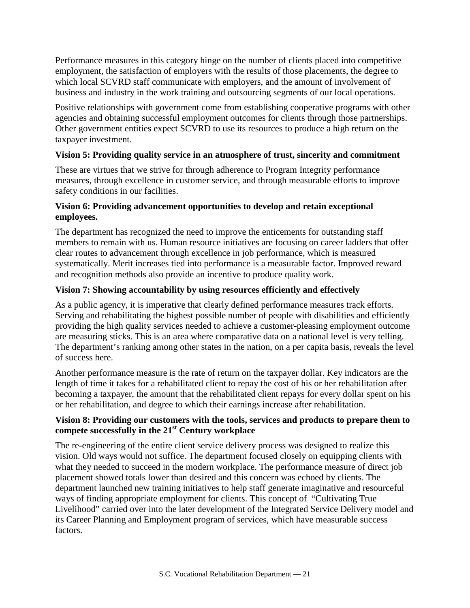Performance measures in this category hinge on the number of clients placed into competitive employment, the satisfaction of employers with the results of those placements, the degree to which local SCVRD staff communicate with employers, and the amount of involvement of business and industry in the work training and outsourcing segments of our local operations.

Positive relationships with government come from establishing cooperative programs with other agencies and obtaining successful employment outcomes for clients through those partnerships. Other government entities expect SCVRD to use its resources to produce a high return on the taxpayer investment.

### **Vision 5: Providing quality service in an atmosphere of trust, sincerity and commitment**

These are virtues that we strive for through adherence to Program Integrity performance measures, through excellence in customer service, and through measurable efforts to improve safety conditions in our facilities.

### **Vision 6: Providing advancement opportunities to develop and retain exceptional employees.**

The department has recognized the need to improve the enticements for outstanding staff members to remain with us. Human resource initiatives are focusing on career ladders that offer clear routes to advancement through excellence in job performance, which is measured systematically. Merit increases tied into performance is a measurable factor. Improved reward and recognition methods also provide an incentive to produce quality work.

## **Vision 7: Showing accountability by using resources efficiently and effectively**

As a public agency, it is imperative that clearly defined performance measures track efforts. Serving and rehabilitating the highest possible number of people with disabilities and efficiently providing the high quality services needed to achieve a customer-pleasing employment outcome are measuring sticks. This is an area where comparative data on a national level is very telling. The department's ranking among other states in the nation, on a per capita basis, reveals the level of success here.

Another performance measure is the rate of return on the taxpayer dollar. Key indicators are the length of time it takes for a rehabilitated client to repay the cost of his or her rehabilitation after becoming a taxpayer, the amount that the rehabilitated client repays for every dollar spent on his or her rehabilitation, and degree to which their earnings increase after rehabilitation.

### **Vision 8: Providing our customers with the tools, services and products to prepare them to compete successfully in the 21st Century workplace**

The re-engineering of the entire client service delivery process was designed to realize this vision. Old ways would not suffice. The department focused closely on equipping clients with what they needed to succeed in the modern workplace. The performance measure of direct job placement showed totals lower than desired and this concern was echoed by clients. The department launched new training initiatives to help staff generate imaginative and resourceful ways of finding appropriate employment for clients. This concept of "Cultivating True Livelihood" carried over into the later development of the Integrated Service Delivery model and its Career Planning and Employment program of services, which have measurable success factors.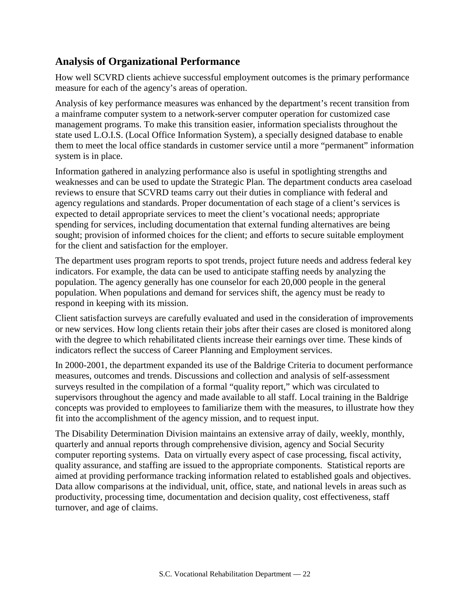## **Analysis of Organizational Performance**

How well SCVRD clients achieve successful employment outcomes is the primary performance measure for each of the agency's areas of operation.

Analysis of key performance measures was enhanced by the department's recent transition from a mainframe computer system to a network-server computer operation for customized case management programs. To make this transition easier, information specialists throughout the state used L.O.I.S. (Local Office Information System), a specially designed database to enable them to meet the local office standards in customer service until a more "permanent" information system is in place.

Information gathered in analyzing performance also is useful in spotlighting strengths and weaknesses and can be used to update the Strategic Plan. The department conducts area caseload reviews to ensure that SCVRD teams carry out their duties in compliance with federal and agency regulations and standards. Proper documentation of each stage of a client's services is expected to detail appropriate services to meet the client's vocational needs; appropriate spending for services, including documentation that external funding alternatives are being sought; provision of informed choices for the client; and efforts to secure suitable employment for the client and satisfaction for the employer.

The department uses program reports to spot trends, project future needs and address federal key indicators. For example, the data can be used to anticipate staffing needs by analyzing the population. The agency generally has one counselor for each 20,000 people in the general population. When populations and demand for services shift, the agency must be ready to respond in keeping with its mission.

Client satisfaction surveys are carefully evaluated and used in the consideration of improvements or new services. How long clients retain their jobs after their cases are closed is monitored along with the degree to which rehabilitated clients increase their earnings over time. These kinds of indicators reflect the success of Career Planning and Employment services.

In 2000-2001, the department expanded its use of the Baldrige Criteria to document performance measures, outcomes and trends. Discussions and collection and analysis of self-assessment surveys resulted in the compilation of a formal "quality report," which was circulated to supervisors throughout the agency and made available to all staff. Local training in the Baldrige concepts was provided to employees to familiarize them with the measures, to illustrate how they fit into the accomplishment of the agency mission, and to request input.

The Disability Determination Division maintains an extensive array of daily, weekly, monthly, quarterly and annual reports through comprehensive division, agency and Social Security computer reporting systems. Data on virtually every aspect of case processing, fiscal activity, quality assurance, and staffing are issued to the appropriate components. Statistical reports are aimed at providing performance tracking information related to established goals and objectives. Data allow comparisons at the individual, unit, office, state, and national levels in areas such as productivity, processing time, documentation and decision quality, cost effectiveness, staff turnover, and age of claims.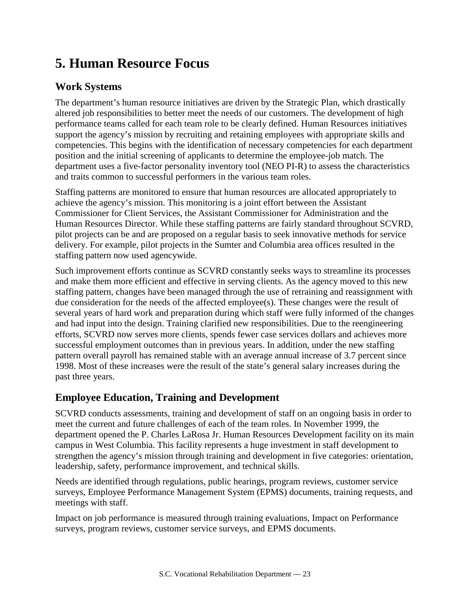# **5. Human Resource Focus**

# **Work Systems**

The department's human resource initiatives are driven by the Strategic Plan, which drastically altered job responsibilities to better meet the needs of our customers. The development of high performance teams called for each team role to be clearly defined. Human Resources initiatives support the agency's mission by recruiting and retaining employees with appropriate skills and competencies. This begins with the identification of necessary competencies for each department position and the initial screening of applicants to determine the employee-job match. The department uses a five-factor personality inventory tool (NEO PI-R) to assess the characteristics and traits common to successful performers in the various team roles.

Staffing patterns are monitored to ensure that human resources are allocated appropriately to achieve the agency's mission. This monitoring is a joint effort between the Assistant Commissioner for Client Services, the Assistant Commissioner for Administration and the Human Resources Director. While these staffing patterns are fairly standard throughout SCVRD, pilot projects can be and are proposed on a regular basis to seek innovative methods for service delivery. For example, pilot projects in the Sumter and Columbia area offices resulted in the staffing pattern now used agencywide.

Such improvement efforts continue as SCVRD constantly seeks ways to streamline its processes and make them more efficient and effective in serving clients. As the agency moved to this new staffing pattern, changes have been managed through the use of retraining and reassignment with due consideration for the needs of the affected employee(s). These changes were the result of several years of hard work and preparation during which staff were fully informed of the changes and had input into the design. Training clarified new responsibilities. Due to the reengineering efforts, SCVRD now serves more clients, spends fewer case services dollars and achieves more successful employment outcomes than in previous years. In addition, under the new staffing pattern overall payroll has remained stable with an average annual increase of 3.7 percent since 1998. Most of these increases were the result of the state's general salary increases during the past three years.

# **Employee Education, Training and Development**

SCVRD conducts assessments, training and development of staff on an ongoing basis in order to meet the current and future challenges of each of the team roles. In November 1999, the department opened the P. Charles LaRosa Jr. Human Resources Development facility on its main campus in West Columbia. This facility represents a huge investment in staff development to strengthen the agency's mission through training and development in five categories: orientation, leadership, safety, performance improvement, and technical skills.

Needs are identified through regulations, public hearings, program reviews, customer service surveys, Employee Performance Management System (EPMS) documents, training requests, and meetings with staff.

Impact on job performance is measured through training evaluations, Impact on Performance surveys, program reviews, customer service surveys, and EPMS documents.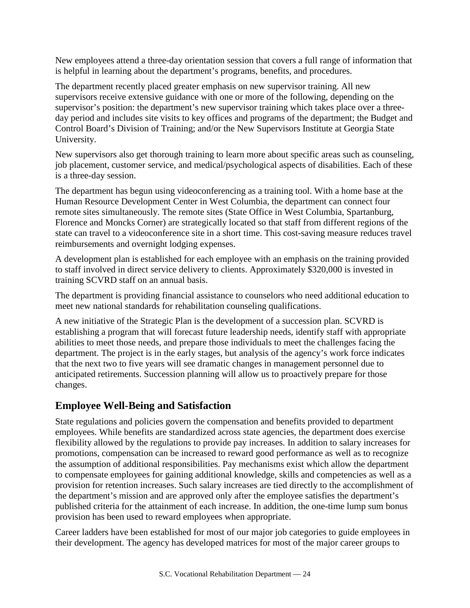New employees attend a three-day orientation session that covers a full range of information that is helpful in learning about the department's programs, benefits, and procedures.

The department recently placed greater emphasis on new supervisor training. All new supervisors receive extensive guidance with one or more of the following, depending on the supervisor's position: the department's new supervisor training which takes place over a threeday period and includes site visits to key offices and programs of the department; the Budget and Control Board's Division of Training; and/or the New Supervisors Institute at Georgia State University.

New supervisors also get thorough training to learn more about specific areas such as counseling, job placement, customer service, and medical/psychological aspects of disabilities. Each of these is a three-day session.

The department has begun using videoconferencing as a training tool. With a home base at the Human Resource Development Center in West Columbia, the department can connect four remote sites simultaneously. The remote sites (State Office in West Columbia, Spartanburg, Florence and Moncks Corner) are strategically located so that staff from different regions of the state can travel to a videoconference site in a short time. This cost-saving measure reduces travel reimbursements and overnight lodging expenses.

A development plan is established for each employee with an emphasis on the training provided to staff involved in direct service delivery to clients. Approximately \$320,000 is invested in training SCVRD staff on an annual basis.

The department is providing financial assistance to counselors who need additional education to meet new national standards for rehabilitation counseling qualifications.

A new initiative of the Strategic Plan is the development of a succession plan. SCVRD is establishing a program that will forecast future leadership needs, identify staff with appropriate abilities to meet those needs, and prepare those individuals to meet the challenges facing the department. The project is in the early stages, but analysis of the agency's work force indicates that the next two to five years will see dramatic changes in management personnel due to anticipated retirements. Succession planning will allow us to proactively prepare for those changes.

## **Employee Well-Being and Satisfaction**

State regulations and policies govern the compensation and benefits provided to department employees. While benefits are standardized across state agencies, the department does exercise flexibility allowed by the regulations to provide pay increases. In addition to salary increases for promotions, compensation can be increased to reward good performance as well as to recognize the assumption of additional responsibilities. Pay mechanisms exist which allow the department to compensate employees for gaining additional knowledge, skills and competencies as well as a provision for retention increases. Such salary increases are tied directly to the accomplishment of the department's mission and are approved only after the employee satisfies the department's published criteria for the attainment of each increase. In addition, the one-time lump sum bonus provision has been used to reward employees when appropriate.

Career ladders have been established for most of our major job categories to guide employees in their development. The agency has developed matrices for most of the major career groups to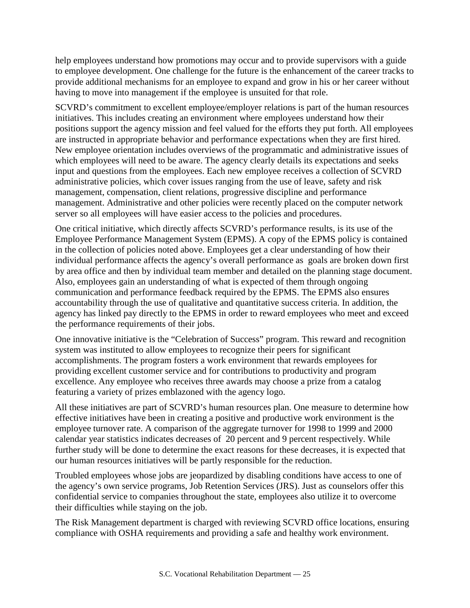help employees understand how promotions may occur and to provide supervisors with a guide to employee development. One challenge for the future is the enhancement of the career tracks to provide additional mechanisms for an employee to expand and grow in his or her career without having to move into management if the employee is unsuited for that role.

SCVRD's commitment to excellent employee/employer relations is part of the human resources initiatives. This includes creating an environment where employees understand how their positions support the agency mission and feel valued for the efforts they put forth. All employees are instructed in appropriate behavior and performance expectations when they are first hired. New employee orientation includes overviews of the programmatic and administrative issues of which employees will need to be aware. The agency clearly details its expectations and seeks input and questions from the employees. Each new employee receives a collection of SCVRD administrative policies, which cover issues ranging from the use of leave, safety and risk management, compensation, client relations, progressive discipline and performance management. Administrative and other policies were recently placed on the computer network server so all employees will have easier access to the policies and procedures.

One critical initiative, which directly affects SCVRD's performance results, is its use of the Employee Performance Management System (EPMS). A copy of the EPMS policy is contained in the collection of policies noted above. Employees get a clear understanding of how their individual performance affects the agency's overall performance as goals are broken down first by area office and then by individual team member and detailed on the planning stage document. Also, employees gain an understanding of what is expected of them through ongoing communication and performance feedback required by the EPMS. The EPMS also ensures accountability through the use of qualitative and quantitative success criteria. In addition, the agency has linked pay directly to the EPMS in order to reward employees who meet and exceed the performance requirements of their jobs.

One innovative initiative is the "Celebration of Success" program. This reward and recognition system was instituted to allow employees to recognize their peers for significant accomplishments. The program fosters a work environment that rewards employees for providing excellent customer service and for contributions to productivity and program excellence. Any employee who receives three awards may choose a prize from a catalog featuring a variety of prizes emblazoned with the agency logo.

All these initiatives are part of SCVRD's human resources plan. One measure to determine how effective initiatives have been in creating a positive and productive work environment is the employee turnover rate. A comparison of the aggregate turnover for 1998 to 1999 and 2000 calendar year statistics indicates decreases of 20 percent and 9 percent respectively. While further study will be done to determine the exact reasons for these decreases, it is expected that our human resources initiatives will be partly responsible for the reduction.

Troubled employees whose jobs are jeopardized by disabling conditions have access to one of the agency's own service programs, Job Retention Services (JRS). Just as counselors offer this confidential service to companies throughout the state, employees also utilize it to overcome their difficulties while staying on the job.

The Risk Management department is charged with reviewing SCVRD office locations, ensuring compliance with OSHA requirements and providing a safe and healthy work environment.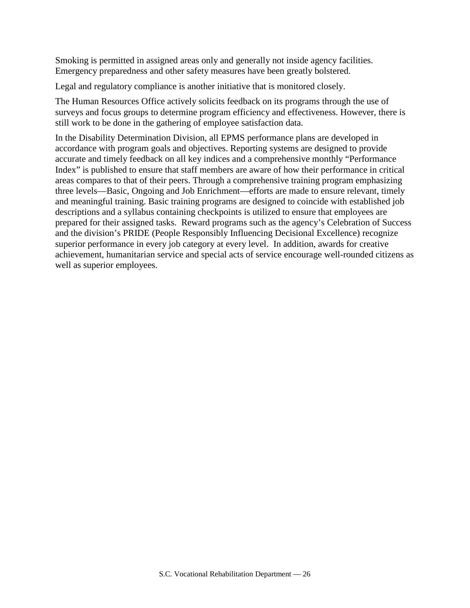Smoking is permitted in assigned areas only and generally not inside agency facilities. Emergency preparedness and other safety measures have been greatly bolstered.

Legal and regulatory compliance is another initiative that is monitored closely.

The Human Resources Office actively solicits feedback on its programs through the use of surveys and focus groups to determine program efficiency and effectiveness. However, there is still work to be done in the gathering of employee satisfaction data.

In the Disability Determination Division, all EPMS performance plans are developed in accordance with program goals and objectives. Reporting systems are designed to provide accurate and timely feedback on all key indices and a comprehensive monthly "Performance Index" is published to ensure that staff members are aware of how their performance in critical areas compares to that of their peers. Through a comprehensive training program emphasizing three levels—Basic, Ongoing and Job Enrichment—efforts are made to ensure relevant, timely and meaningful training. Basic training programs are designed to coincide with established job descriptions and a syllabus containing checkpoints is utilized to ensure that employees are prepared for their assigned tasks. Reward programs such as the agency's Celebration of Success and the division's PRIDE (People Responsibly Influencing Decisional Excellence) recognize superior performance in every job category at every level. In addition, awards for creative achievement, humanitarian service and special acts of service encourage well-rounded citizens as well as superior employees.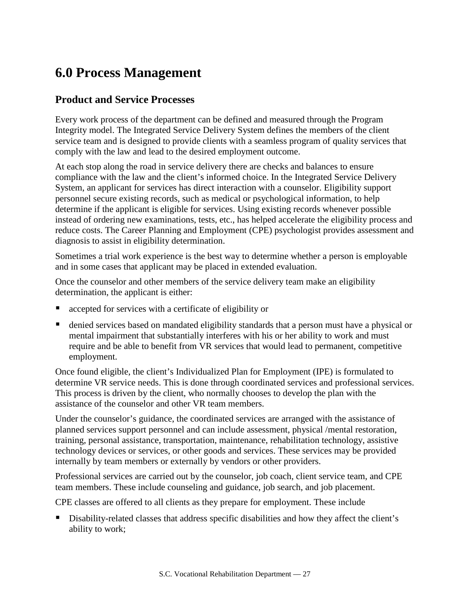# **6.0 Process Management**

## **Product and Service Processes**

Every work process of the department can be defined and measured through the Program Integrity model. The Integrated Service Delivery System defines the members of the client service team and is designed to provide clients with a seamless program of quality services that comply with the law and lead to the desired employment outcome.

At each stop along the road in service delivery there are checks and balances to ensure compliance with the law and the client's informed choice. In the Integrated Service Delivery System, an applicant for services has direct interaction with a counselor. Eligibility support personnel secure existing records, such as medical or psychological information, to help determine if the applicant is eligible for services. Using existing records whenever possible instead of ordering new examinations, tests, etc., has helped accelerate the eligibility process and reduce costs. The Career Planning and Employment (CPE) psychologist provides assessment and diagnosis to assist in eligibility determination.

Sometimes a trial work experience is the best way to determine whether a person is employable and in some cases that applicant may be placed in extended evaluation.

Once the counselor and other members of the service delivery team make an eligibility determination, the applicant is either:

- accepted for services with a certificate of eligibility or
- denied services based on mandated eligibility standards that a person must have a physical or mental impairment that substantially interferes with his or her ability to work and must require and be able to benefit from VR services that would lead to permanent, competitive employment.

Once found eligible, the client's Individualized Plan for Employment (IPE) is formulated to determine VR service needs. This is done through coordinated services and professional services. This process is driven by the client, who normally chooses to develop the plan with the assistance of the counselor and other VR team members.

Under the counselor's guidance, the coordinated services are arranged with the assistance of planned services support personnel and can include assessment, physical /mental restoration, training, personal assistance, transportation, maintenance, rehabilitation technology, assistive technology devices or services, or other goods and services. These services may be provided internally by team members or externally by vendors or other providers.

Professional services are carried out by the counselor, job coach, client service team, and CPE team members. These include counseling and guidance, job search, and job placement.

CPE classes are offered to all clients as they prepare for employment. These include

 Disability-related classes that address specific disabilities and how they affect the client's ability to work;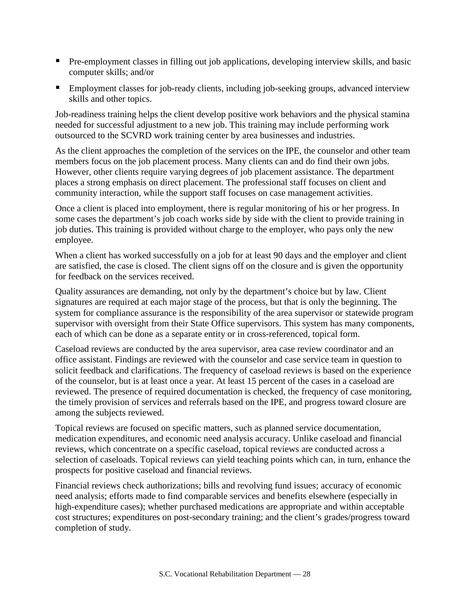- **Pre-employment classes in filling out job applications, developing interview skills, and basic** computer skills; and/or
- **Employment classes for job-ready clients, including job-seeking groups, advanced interview** skills and other topics.

Job-readiness training helps the client develop positive work behaviors and the physical stamina needed for successful adjustment to a new job. This training may include performing work outsourced to the SCVRD work training center by area businesses and industries.

As the client approaches the completion of the services on the IPE, the counselor and other team members focus on the job placement process. Many clients can and do find their own jobs. However, other clients require varying degrees of job placement assistance. The department places a strong emphasis on direct placement. The professional staff focuses on client and community interaction, while the support staff focuses on case management activities.

Once a client is placed into employment, there is regular monitoring of his or her progress. In some cases the department's job coach works side by side with the client to provide training in job duties. This training is provided without charge to the employer, who pays only the new employee.

When a client has worked successfully on a job for at least 90 days and the employer and client are satisfied, the case is closed. The client signs off on the closure and is given the opportunity for feedback on the services received.

Quality assurances are demanding, not only by the department's choice but by law. Client signatures are required at each major stage of the process, but that is only the beginning. The system for compliance assurance is the responsibility of the area supervisor or statewide program supervisor with oversight from their State Office supervisors. This system has many components, each of which can be done as a separate entity or in cross-referenced, topical form.

Caseload reviews are conducted by the area supervisor, area case review coordinator and an office assistant. Findings are reviewed with the counselor and case service team in question to solicit feedback and clarifications. The frequency of caseload reviews is based on the experience of the counselor, but is at least once a year. At least 15 percent of the cases in a caseload are reviewed. The presence of required documentation is checked, the frequency of case monitoring, the timely provision of services and referrals based on the IPE, and progress toward closure are among the subjects reviewed.

Topical reviews are focused on specific matters, such as planned service documentation, medication expenditures, and economic need analysis accuracy. Unlike caseload and financial reviews, which concentrate on a specific caseload, topical reviews are conducted across a selection of caseloads. Topical reviews can yield teaching points which can, in turn, enhance the prospects for positive caseload and financial reviews.

Financial reviews check authorizations; bills and revolving fund issues; accuracy of economic need analysis; efforts made to find comparable services and benefits elsewhere (especially in high-expenditure cases); whether purchased medications are appropriate and within acceptable cost structures; expenditures on post-secondary training; and the client's grades/progress toward completion of study.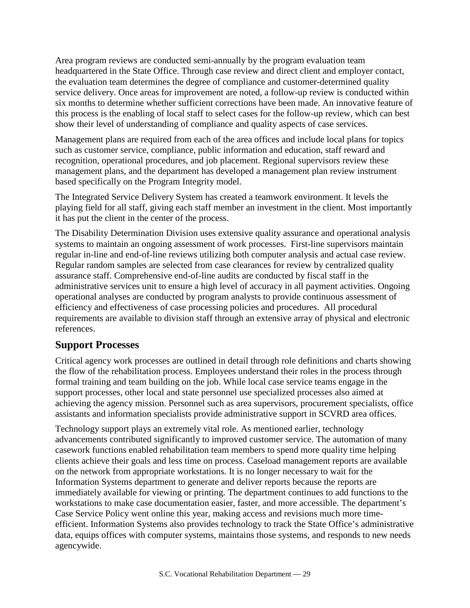Area program reviews are conducted semi-annually by the program evaluation team headquartered in the State Office. Through case review and direct client and employer contact, the evaluation team determines the degree of compliance and customer-determined quality service delivery. Once areas for improvement are noted, a follow-up review is conducted within six months to determine whether sufficient corrections have been made. An innovative feature of this process is the enabling of local staff to select cases for the follow-up review, which can best show their level of understanding of compliance and quality aspects of case services.

Management plans are required from each of the area offices and include local plans for topics such as customer service, compliance, public information and education, staff reward and recognition, operational procedures, and job placement. Regional supervisors review these management plans, and the department has developed a management plan review instrument based specifically on the Program Integrity model.

The Integrated Service Delivery System has created a teamwork environment. It levels the playing field for all staff, giving each staff member an investment in the client. Most importantly it has put the client in the center of the process.

The Disability Determination Division uses extensive quality assurance and operational analysis systems to maintain an ongoing assessment of work processes. First-line supervisors maintain regular in-line and end-of-line reviews utilizing both computer analysis and actual case review. Regular random samples are selected from case clearances for review by centralized quality assurance staff. Comprehensive end-of-line audits are conducted by fiscal staff in the administrative services unit to ensure a high level of accuracy in all payment activities. Ongoing operational analyses are conducted by program analysts to provide continuous assessment of efficiency and effectiveness of case processing policies and procedures. All procedural requirements are available to division staff through an extensive array of physical and electronic references.

## **Support Processes**

Critical agency work processes are outlined in detail through role definitions and charts showing the flow of the rehabilitation process. Employees understand their roles in the process through formal training and team building on the job. While local case service teams engage in the support processes, other local and state personnel use specialized processes also aimed at achieving the agency mission. Personnel such as area supervisors, procurement specialists, office assistants and information specialists provide administrative support in SCVRD area offices.

Technology support plays an extremely vital role. As mentioned earlier, technology advancements contributed significantly to improved customer service. The automation of many casework functions enabled rehabilitation team members to spend more quality time helping clients achieve their goals and less time on process. Caseload management reports are available on the network from appropriate workstations. It is no longer necessary to wait for the Information Systems department to generate and deliver reports because the reports are immediately available for viewing or printing. The department continues to add functions to the workstations to make case documentation easier, faster, and more accessible. The department's Case Service Policy went online this year, making access and revisions much more timeefficient. Information Systems also provides technology to track the State Office's administrative data, equips offices with computer systems, maintains those systems, and responds to new needs agencywide.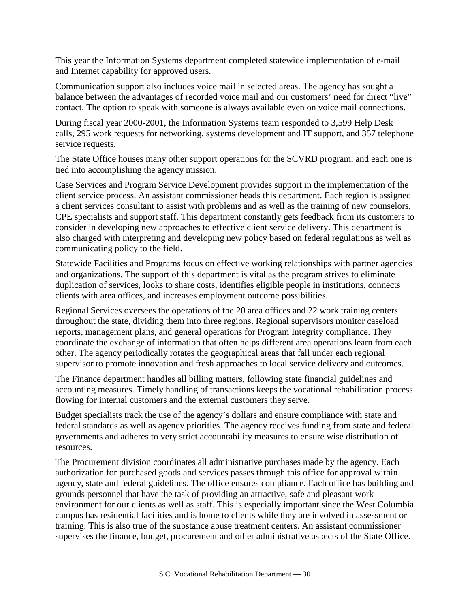This year the Information Systems department completed statewide implementation of e-mail and Internet capability for approved users.

Communication support also includes voice mail in selected areas. The agency has sought a balance between the advantages of recorded voice mail and our customers' need for direct "live" contact. The option to speak with someone is always available even on voice mail connections.

During fiscal year 2000-2001, the Information Systems team responded to 3,599 Help Desk calls, 295 work requests for networking, systems development and IT support, and 357 telephone service requests.

The State Office houses many other support operations for the SCVRD program, and each one is tied into accomplishing the agency mission.

Case Services and Program Service Development provides support in the implementation of the client service process. An assistant commissioner heads this department. Each region is assigned a client services consultant to assist with problems and as well as the training of new counselors, CPE specialists and support staff. This department constantly gets feedback from its customers to consider in developing new approaches to effective client service delivery. This department is also charged with interpreting and developing new policy based on federal regulations as well as communicating policy to the field.

Statewide Facilities and Programs focus on effective working relationships with partner agencies and organizations. The support of this department is vital as the program strives to eliminate duplication of services, looks to share costs, identifies eligible people in institutions, connects clients with area offices, and increases employment outcome possibilities.

Regional Services oversees the operations of the 20 area offices and 22 work training centers throughout the state, dividing them into three regions. Regional supervisors monitor caseload reports, management plans, and general operations for Program Integrity compliance. They coordinate the exchange of information that often helps different area operations learn from each other. The agency periodically rotates the geographical areas that fall under each regional supervisor to promote innovation and fresh approaches to local service delivery and outcomes.

The Finance department handles all billing matters, following state financial guidelines and accounting measures. Timely handling of transactions keeps the vocational rehabilitation process flowing for internal customers and the external customers they serve.

Budget specialists track the use of the agency's dollars and ensure compliance with state and federal standards as well as agency priorities. The agency receives funding from state and federal governments and adheres to very strict accountability measures to ensure wise distribution of resources.

The Procurement division coordinates all administrative purchases made by the agency. Each authorization for purchased goods and services passes through this office for approval within agency, state and federal guidelines. The office ensures compliance. Each office has building and grounds personnel that have the task of providing an attractive, safe and pleasant work environment for our clients as well as staff. This is especially important since the West Columbia campus has residential facilities and is home to clients while they are involved in assessment or training. This is also true of the substance abuse treatment centers. An assistant commissioner supervises the finance, budget, procurement and other administrative aspects of the State Office.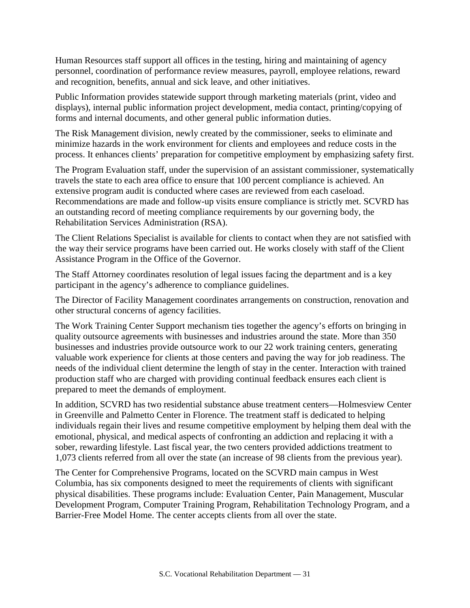Human Resources staff support all offices in the testing, hiring and maintaining of agency personnel, coordination of performance review measures, payroll, employee relations, reward and recognition, benefits, annual and sick leave, and other initiatives.

Public Information provides statewide support through marketing materials (print, video and displays), internal public information project development, media contact, printing/copying of forms and internal documents, and other general public information duties.

The Risk Management division, newly created by the commissioner, seeks to eliminate and minimize hazards in the work environment for clients and employees and reduce costs in the process. It enhances clients' preparation for competitive employment by emphasizing safety first.

The Program Evaluation staff, under the supervision of an assistant commissioner, systematically travels the state to each area office to ensure that 100 percent compliance is achieved. An extensive program audit is conducted where cases are reviewed from each caseload. Recommendations are made and follow-up visits ensure compliance is strictly met. SCVRD has an outstanding record of meeting compliance requirements by our governing body, the Rehabilitation Services Administration (RSA).

The Client Relations Specialist is available for clients to contact when they are not satisfied with the way their service programs have been carried out. He works closely with staff of the Client Assistance Program in the Office of the Governor.

The Staff Attorney coordinates resolution of legal issues facing the department and is a key participant in the agency's adherence to compliance guidelines.

The Director of Facility Management coordinates arrangements on construction, renovation and other structural concerns of agency facilities.

The Work Training Center Support mechanism ties together the agency's efforts on bringing in quality outsource agreements with businesses and industries around the state. More than 350 businesses and industries provide outsource work to our 22 work training centers, generating valuable work experience for clients at those centers and paving the way for job readiness. The needs of the individual client determine the length of stay in the center. Interaction with trained production staff who are charged with providing continual feedback ensures each client is prepared to meet the demands of employment.

In addition, SCVRD has two residential substance abuse treatment centers—Holmesview Center in Greenville and Palmetto Center in Florence. The treatment staff is dedicated to helping individuals regain their lives and resume competitive employment by helping them deal with the emotional, physical, and medical aspects of confronting an addiction and replacing it with a sober, rewarding lifestyle. Last fiscal year, the two centers provided addictions treatment to 1,073 clients referred from all over the state (an increase of 98 clients from the previous year).

The Center for Comprehensive Programs, located on the SCVRD main campus in West Columbia, has six components designed to meet the requirements of clients with significant physical disabilities. These programs include: Evaluation Center, Pain Management, Muscular Development Program, Computer Training Program, Rehabilitation Technology Program, and a Barrier-Free Model Home. The center accepts clients from all over the state.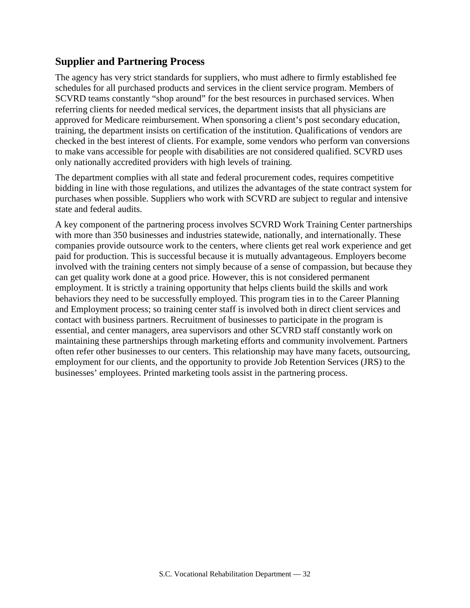## **Supplier and Partnering Process**

The agency has very strict standards for suppliers, who must adhere to firmly established fee schedules for all purchased products and services in the client service program. Members of SCVRD teams constantly "shop around" for the best resources in purchased services. When referring clients for needed medical services, the department insists that all physicians are approved for Medicare reimbursement. When sponsoring a client's post secondary education, training, the department insists on certification of the institution. Qualifications of vendors are checked in the best interest of clients. For example, some vendors who perform van conversions to make vans accessible for people with disabilities are not considered qualified. SCVRD uses only nationally accredited providers with high levels of training.

The department complies with all state and federal procurement codes, requires competitive bidding in line with those regulations, and utilizes the advantages of the state contract system for purchases when possible. Suppliers who work with SCVRD are subject to regular and intensive state and federal audits.

A key component of the partnering process involves SCVRD Work Training Center partnerships with more than 350 businesses and industries statewide, nationally, and internationally. These companies provide outsource work to the centers, where clients get real work experience and get paid for production. This is successful because it is mutually advantageous. Employers become involved with the training centers not simply because of a sense of compassion, but because they can get quality work done at a good price. However, this is not considered permanent employment. It is strictly a training opportunity that helps clients build the skills and work behaviors they need to be successfully employed. This program ties in to the Career Planning and Employment process; so training center staff is involved both in direct client services and contact with business partners. Recruitment of businesses to participate in the program is essential, and center managers, area supervisors and other SCVRD staff constantly work on maintaining these partnerships through marketing efforts and community involvement. Partners often refer other businesses to our centers. This relationship may have many facets, outsourcing, employment for our clients, and the opportunity to provide Job Retention Services (JRS) to the businesses' employees. Printed marketing tools assist in the partnering process.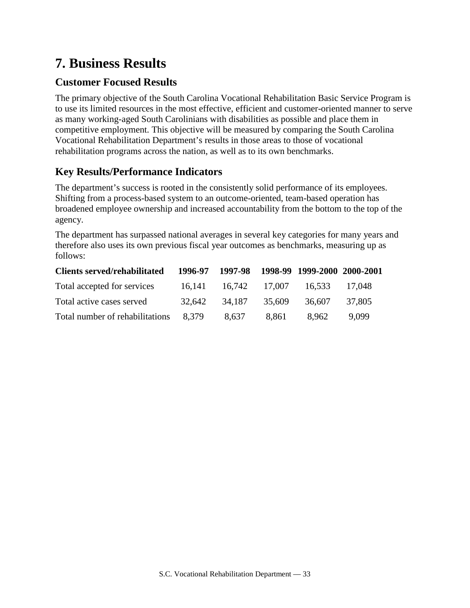# **7. Business Results**

# **Customer Focused Results**

The primary objective of the South Carolina Vocational Rehabilitation Basic Service Program is to use its limited resources in the most effective, efficient and customer-oriented manner to serve as many working-aged South Carolinians with disabilities as possible and place them in competitive employment. This objective will be measured by comparing the South Carolina Vocational Rehabilitation Department's results in those areas to those of vocational rehabilitation programs across the nation, as well as to its own benchmarks.

# **Key Results/Performance Indicators**

The department's success is rooted in the consistently solid performance of its employees. Shifting from a process-based system to an outcome-oriented, team-based operation has broadened employee ownership and increased accountability from the bottom to the top of the agency.

The department has surpassed national averages in several key categories for many years and therefore also uses its own previous fiscal year outcomes as benchmarks, measuring up as follows:

| <b>Clients served/rehabilitated</b> |        |                      |        | 1996-97 1997-98 1998-99 1999-2000 2000-2001 |         |
|-------------------------------------|--------|----------------------|--------|---------------------------------------------|---------|
| Total accepted for services         |        | 16.141 16.742 17.007 |        | 16,533                                      | -17.048 |
| Total active cases served           | 32.642 | 34.187               | 35,609 | 36.607                                      | 37.805  |
| Total number of rehabilitations     | 8.379  | 8,637                | 8,861  | 8.962                                       | 9.099   |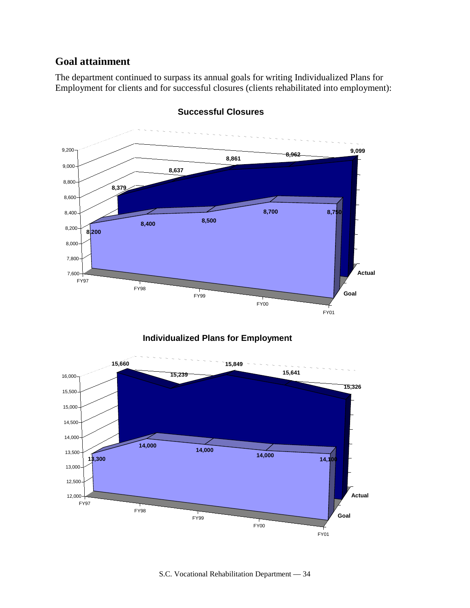## **Goal attainment**

The department continued to surpass its annual goals for writing Individualized Plans for Employment for clients and for successful closures (clients rehabilitated into employment):



**Successful Closures**

#### **Individualized Plans for Employment**

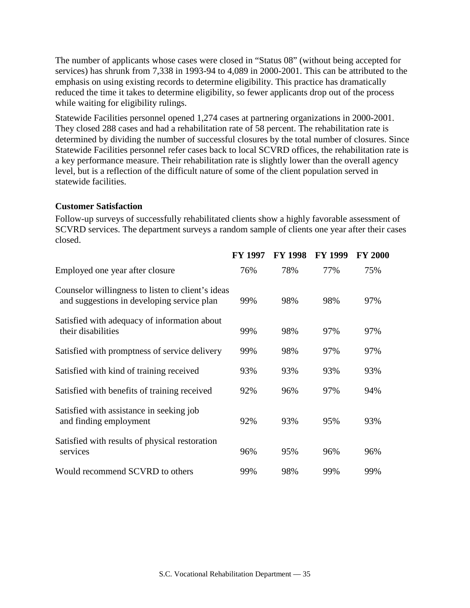The number of applicants whose cases were closed in "Status 08" (without being accepted for services) has shrunk from 7,338 in 1993-94 to 4,089 in 2000-2001. This can be attributed to the emphasis on using existing records to determine eligibility. This practice has dramatically reduced the time it takes to determine eligibility, so fewer applicants drop out of the process while waiting for eligibility rulings.

Statewide Facilities personnel opened 1,274 cases at partnering organizations in 2000-2001. They closed 288 cases and had a rehabilitation rate of 58 percent. The rehabilitation rate is determined by dividing the number of successful closures by the total number of closures. Since Statewide Facilities personnel refer cases back to local SCVRD offices, the rehabilitation rate is a key performance measure. Their rehabilitation rate is slightly lower than the overall agency level, but is a reflection of the difficult nature of some of the client population served in statewide facilities.

#### **Customer Satisfaction**

Follow-up surveys of successfully rehabilitated clients show a highly favorable assessment of SCVRD services. The department surveys a random sample of clients one year after their cases closed.

|                                                                                                 | <b>FY 1997</b> | <b>FY 1998</b> | <b>FY 1999</b> | <b>FY 2000</b> |
|-------------------------------------------------------------------------------------------------|----------------|----------------|----------------|----------------|
| Employed one year after closure                                                                 | 76%            | 78%            | 77%            | 75%            |
| Counselor willingness to listen to client's ideas<br>and suggestions in developing service plan | 99%            | 98%            | 98%            | 97%            |
| Satisfied with adequacy of information about<br>their disabilities                              | 99%            | 98%            | 97%            | 97%            |
| Satisfied with promptness of service delivery                                                   | 99%            | 98%            | 97%            | 97%            |
| Satisfied with kind of training received                                                        | 93%            | 93%            | 93%            | 93%            |
| Satisfied with benefits of training received                                                    | 92%            | 96%            | 97%            | 94%            |
| Satisfied with assistance in seeking job<br>and finding employment                              | 92%            | 93%            | 95%            | 93%            |
| Satisfied with results of physical restoration<br>services                                      | 96%            | 95%            | 96%            | 96%            |
| Would recommend SCVRD to others                                                                 | 99%            | 98%            | 99%            | 99%            |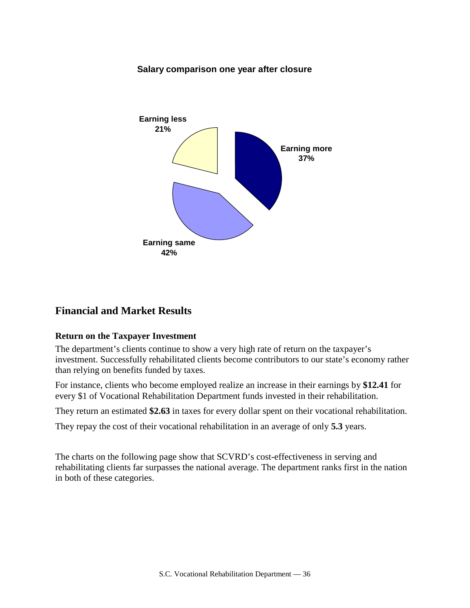#### **Salary comparison one year after closure**



## **Financial and Market Results**

#### **Return on the Taxpayer Investment**

The department's clients continue to show a very high rate of return on the taxpayer's investment. Successfully rehabilitated clients become contributors to our state's economy rather than relying on benefits funded by taxes.

For instance, clients who become employed realize an increase in their earnings by **\$12.41** for every \$1 of Vocational Rehabilitation Department funds invested in their rehabilitation.

They return an estimated **\$2.63** in taxes for every dollar spent on their vocational rehabilitation.

They repay the cost of their vocational rehabilitation in an average of only **5.3** years.

The charts on the following page show that SCVRD's cost-effectiveness in serving and rehabilitating clients far surpasses the national average. The department ranks first in the nation in both of these categories.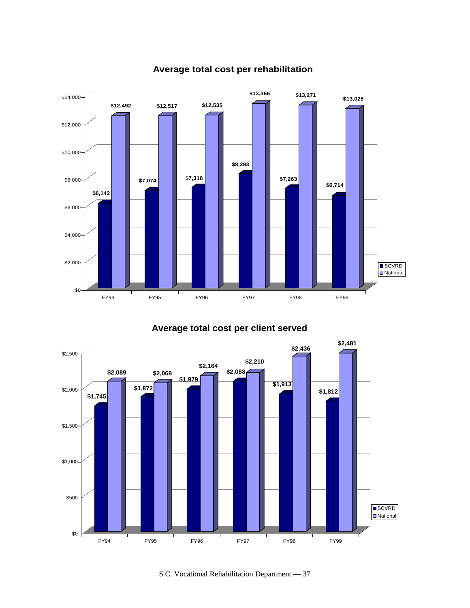

## **Average total cost per rehabilitation**

## **Average total cost per client served**



S.C. Vocational Rehabilitation Department — 37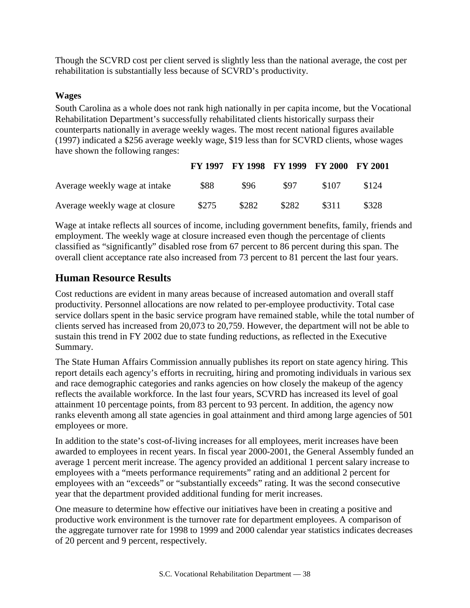Though the SCVRD cost per client served is slightly less than the national average, the cost per rehabilitation is substantially less because of SCVRD's productivity.

#### **Wages**

South Carolina as a whole does not rank high nationally in per capita income, but the Vocational Rehabilitation Department's successfully rehabilitated clients historically surpass their counterparts nationally in average weekly wages. The most recent national figures available (1997) indicated a \$256 average weekly wage, \$19 less than for SCVRD clients, whose wages have shown the following ranges:

|                                |       |       | FY 1997 FY 1998 FY 1999 FY 2000 FY 2001 |       |       |
|--------------------------------|-------|-------|-----------------------------------------|-------|-------|
| Average weekly wage at intake  | \$88  | \$96  | \$97                                    | \$107 | \$124 |
| Average weekly wage at closure | \$275 | \$282 | \$282                                   | \$311 | \$328 |

Wage at intake reflects all sources of income, including government benefits, family, friends and employment. The weekly wage at closure increased even though the percentage of clients classified as "significantly" disabled rose from 67 percent to 86 percent during this span. The overall client acceptance rate also increased from 73 percent to 81 percent the last four years.

## **Human Resource Results**

Cost reductions are evident in many areas because of increased automation and overall staff productivity. Personnel allocations are now related to per-employee productivity. Total case service dollars spent in the basic service program have remained stable, while the total number of clients served has increased from 20,073 to 20,759. However, the department will not be able to sustain this trend in FY 2002 due to state funding reductions, as reflected in the Executive Summary.

The State Human Affairs Commission annually publishes its report on state agency hiring. This report details each agency's efforts in recruiting, hiring and promoting individuals in various sex and race demographic categories and ranks agencies on how closely the makeup of the agency reflects the available workforce. In the last four years, SCVRD has increased its level of goal attainment 10 percentage points, from 83 percent to 93 percent. In addition, the agency now ranks eleventh among all state agencies in goal attainment and third among large agencies of 501 employees or more.

In addition to the state's cost-of-living increases for all employees, merit increases have been awarded to employees in recent years. In fiscal year 2000-2001, the General Assembly funded an average 1 percent merit increase. The agency provided an additional 1 percent salary increase to employees with a "meets performance requirements" rating and an additional 2 percent for employees with an "exceeds" or "substantially exceeds" rating. It was the second consecutive year that the department provided additional funding for merit increases.

One measure to determine how effective our initiatives have been in creating a positive and productive work environment is the turnover rate for department employees. A comparison of the aggregate turnover rate for 1998 to 1999 and 2000 calendar year statistics indicates decreases of 20 percent and 9 percent, respectively.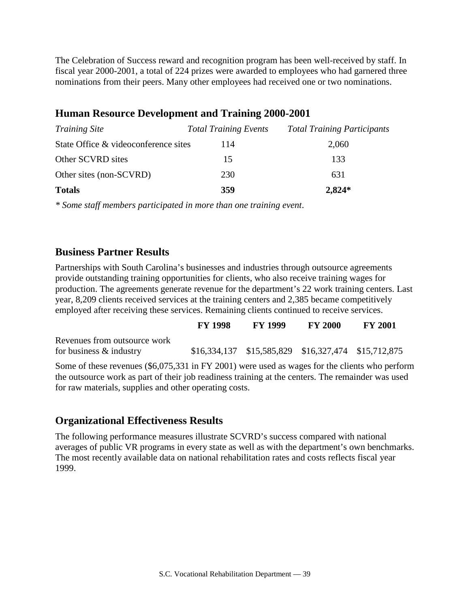The Celebration of Success reward and recognition program has been well-received by staff. In fiscal year 2000-2001, a total of 224 prizes were awarded to employees who had garnered three nominations from their peers. Many other employees had received one or two nominations.

## **Human Resource Development and Training 2000-2001**

| <i>Training Site</i>                 | <b>Total Training Events</b> | <b>Total Training Participants</b> |
|--------------------------------------|------------------------------|------------------------------------|
| State Office & videoconference sites | 114                          | 2,060                              |
| Other SCVRD sites                    | 15                           | 133                                |
| Other sites (non-SCVRD)              | 230                          | 631                                |
| <b>Totals</b>                        | 359                          | $2,824*$                           |

*\* Some staff members participated in more than one training event*.

## **Business Partner Results**

Partnerships with South Carolina's businesses and industries through outsource agreements provide outstanding training opportunities for clients, who also receive training wages for production. The agreements generate revenue for the department's 22 work training centers. Last year, 8,209 clients received services at the training centers and 2,385 became competitively employed after receiving these services. Remaining clients continued to receive services.

|                                                                                                                                                                                                     | <b>FY 1998</b> | <b>FY 1999</b>                                          | <b>FY 2000</b> | <b>FY 2001</b> |  |
|-----------------------------------------------------------------------------------------------------------------------------------------------------------------------------------------------------|----------------|---------------------------------------------------------|----------------|----------------|--|
| Revenues from outsource work                                                                                                                                                                        |                |                                                         |                |                |  |
| for business $\&$ industry                                                                                                                                                                          |                | $$16,334,137$ $$15,585,829$ $$16,327,474$ $$15,712,875$ |                |                |  |
| Some of these revenues (\$6,075,331 in FY 2001) were used as wages for the clients who perform<br>the outsource work as part of their job readiness training at the centers. The remainder was used |                |                                                         |                |                |  |
| for raw materials, supplies and other operating costs.                                                                                                                                              |                |                                                         |                |                |  |

## **Organizational Effectiveness Results**

The following performance measures illustrate SCVRD's success compared with national averages of public VR programs in every state as well as with the department's own benchmarks. The most recently available data on national rehabilitation rates and costs reflects fiscal year 1999.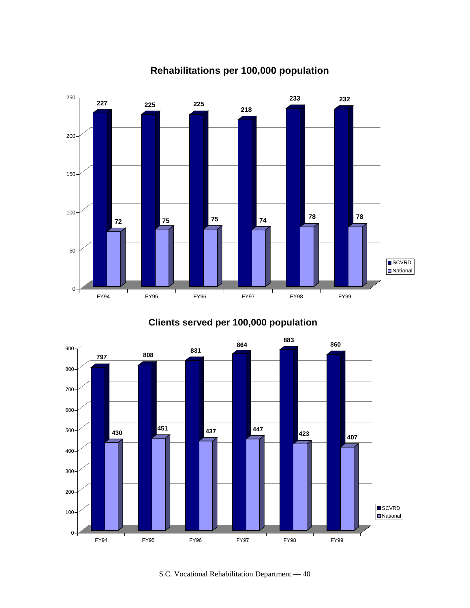

# **Rehabilitations per 100,000 population**

**Clients served per 100,000 population**



S.C. Vocational Rehabilitation Department — 40